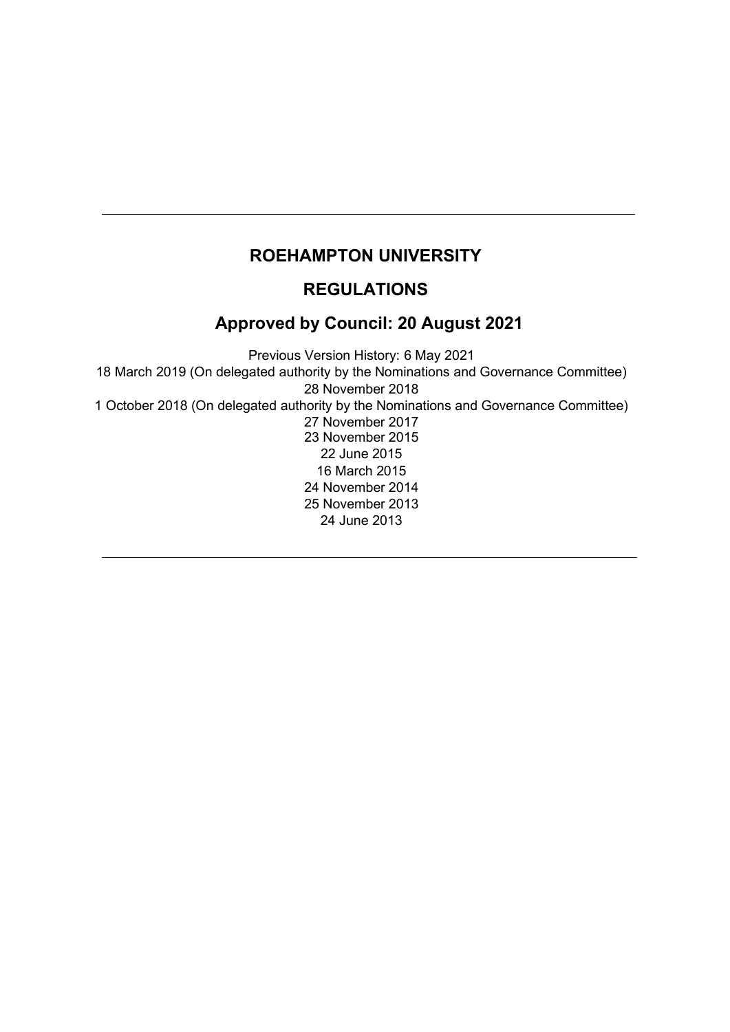# **ROEHAMPTON UNIVERSITY**

## **REGULATIONS**

# **Approved by Council: 20 August 2021**

Previous Version History: 6 May 2021 18 March 2019 (On delegated authority by the Nominations and Governance Committee) November 2018 1 October 2018 (On delegated authority by the Nominations and Governance Committee) November 2017 November 2015 June 2015 March 2015 November 2014 November 2013 24 June 2013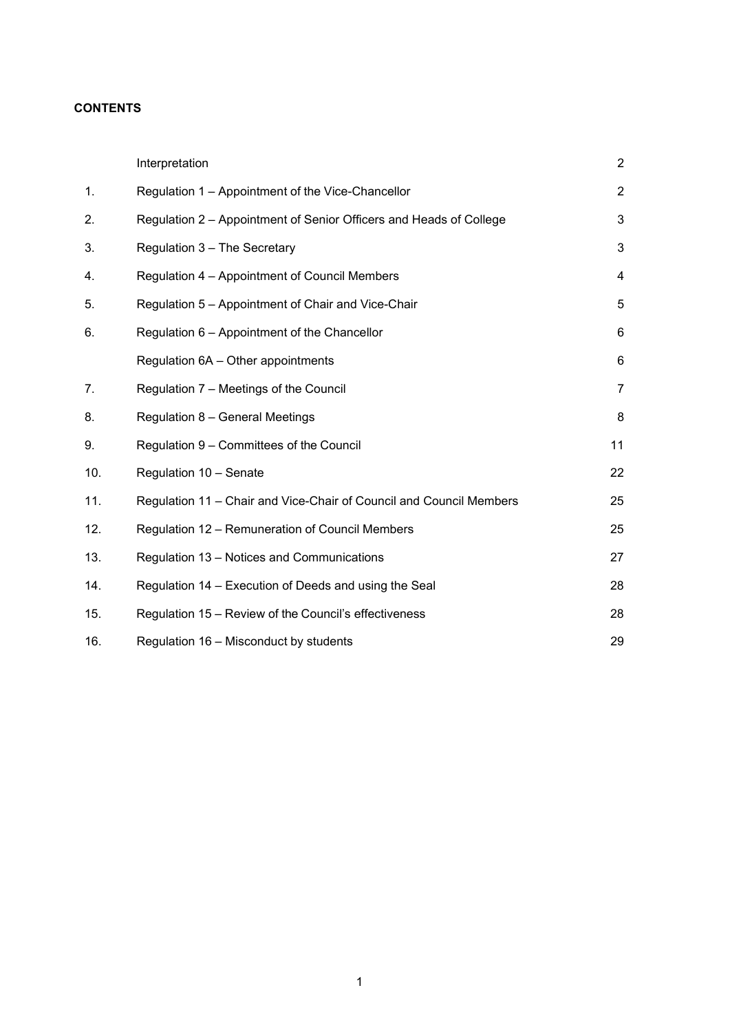## **CONTENTS**

|     | Interpretation                                                      | $\overline{2}$ |
|-----|---------------------------------------------------------------------|----------------|
| 1.  | Regulation 1 - Appointment of the Vice-Chancellor                   | $\overline{2}$ |
| 2.  | Regulation 2 – Appointment of Senior Officers and Heads of College  | 3              |
| 3.  | Regulation 3 - The Secretary                                        | 3              |
| 4.  | Regulation 4 - Appointment of Council Members                       | 4              |
| 5.  | Regulation 5 - Appointment of Chair and Vice-Chair                  | 5              |
| 6.  | Regulation 6 - Appointment of the Chancellor                        | 6              |
|     | Regulation 6A - Other appointments                                  | 6              |
| 7.  | Regulation 7 - Meetings of the Council                              | $\overline{7}$ |
| 8.  | Regulation 8 - General Meetings                                     | 8              |
| 9.  | Regulation 9 - Committees of the Council                            | 11             |
| 10. | Regulation 10 - Senate                                              | 22             |
| 11. | Regulation 11 - Chair and Vice-Chair of Council and Council Members | 25             |
| 12. | Regulation 12 – Remuneration of Council Members                     | 25             |
| 13. | Regulation 13 - Notices and Communications                          | 27             |
| 14. | Regulation 14 – Execution of Deeds and using the Seal               | 28             |
| 15. | Regulation 15 - Review of the Council's effectiveness               | 28             |
| 16. | Regulation 16 - Misconduct by students                              | 29             |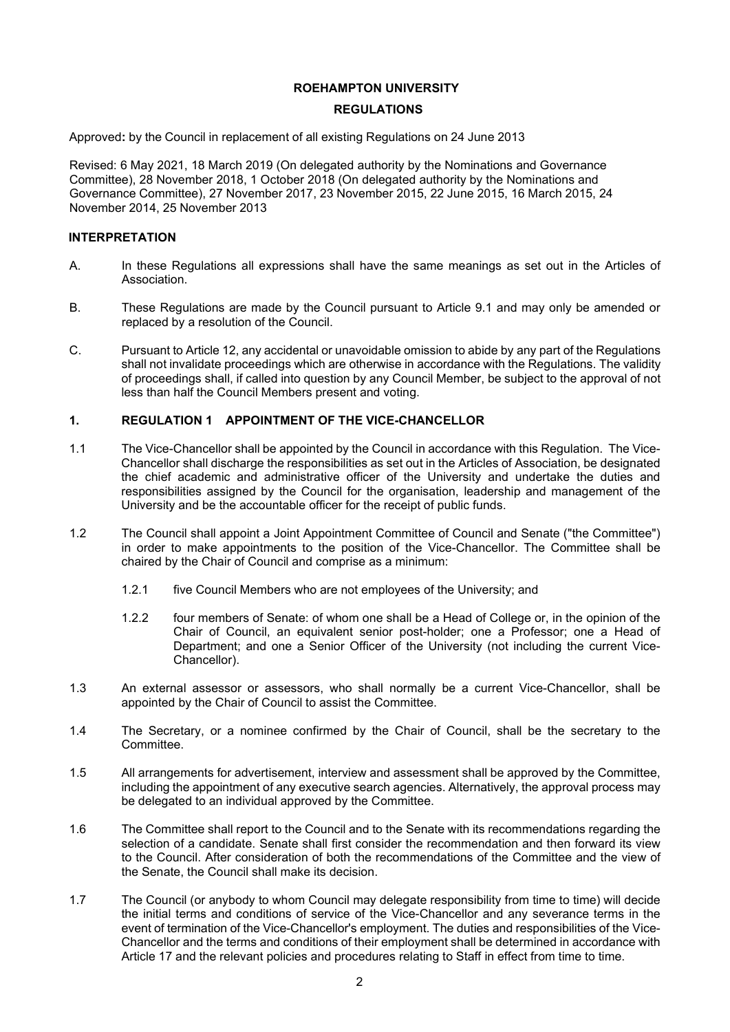#### **ROEHAMPTON UNIVERSITY**

#### **REGULATIONS**

Approved**:** by the Council in replacement of all existing Regulations on 24 June 2013

Revised: 6 May 2021, 18 March 2019 (On delegated authority by the Nominations and Governance Committee), 28 November 2018, 1 October 2018 (On delegated authority by the Nominations and Governance Committee), 27 November 2017, 23 November 2015, 22 June 2015, 16 March 2015, 24 November 2014, 25 November 2013

#### **INTERPRETATION**

- A. In these Regulations all expressions shall have the same meanings as set out in the Articles of Association.
- B. These Regulations are made by the Council pursuant to Article 9.1 and may only be amended or replaced by a resolution of the Council.
- C. Pursuant to Article 12, any accidental or unavoidable omission to abide by any part of the Regulations shall not invalidate proceedings which are otherwise in accordance with the Regulations. The validity of proceedings shall, if called into question by any Council Member, be subject to the approval of not less than half the Council Members present and voting.

#### **1. REGULATION 1 APPOINTMENT OF THE VICE-CHANCELLOR**

- 1.1 The Vice-Chancellor shall be appointed by the Council in accordance with this Regulation. The Vice-Chancellor shall discharge the responsibilities as set out in the Articles of Association, be designated the chief academic and administrative officer of the University and undertake the duties and responsibilities assigned by the Council for the organisation, leadership and management of the University and be the accountable officer for the receipt of public funds.
- 1.2 The Council shall appoint a Joint Appointment Committee of Council and Senate ("the Committee") in order to make appointments to the position of the Vice-Chancellor. The Committee shall be chaired by the Chair of Council and comprise as a minimum:
	- 1.2.1 five Council Members who are not employees of the University; and
	- 1.2.2 four members of Senate: of whom one shall be a Head of College or, in the opinion of the Chair of Council, an equivalent senior post-holder; one a Professor; one a Head of Department; and one a Senior Officer of the University (not including the current Vice-Chancellor).
- 1.3 An external assessor or assessors, who shall normally be a current Vice-Chancellor, shall be appointed by the Chair of Council to assist the Committee.
- 1.4 The Secretary, or a nominee confirmed by the Chair of Council, shall be the secretary to the Committee.
- 1.5 All arrangements for advertisement, interview and assessment shall be approved by the Committee, including the appointment of any executive search agencies. Alternatively, the approval process may be delegated to an individual approved by the Committee.
- 1.6 The Committee shall report to the Council and to the Senate with its recommendations regarding the selection of a candidate. Senate shall first consider the recommendation and then forward its view to the Council. After consideration of both the recommendations of the Committee and the view of the Senate, the Council shall make its decision.
- 1.7 The Council (or anybody to whom Council may delegate responsibility from time to time) will decide the initial terms and conditions of service of the Vice-Chancellor and any severance terms in the event of termination of the Vice-Chancellor's employment. The duties and responsibilities of the Vice-Chancellor and the terms and conditions of their employment shall be determined in accordance with Article 17 and the relevant policies and procedures relating to Staff in effect from time to time.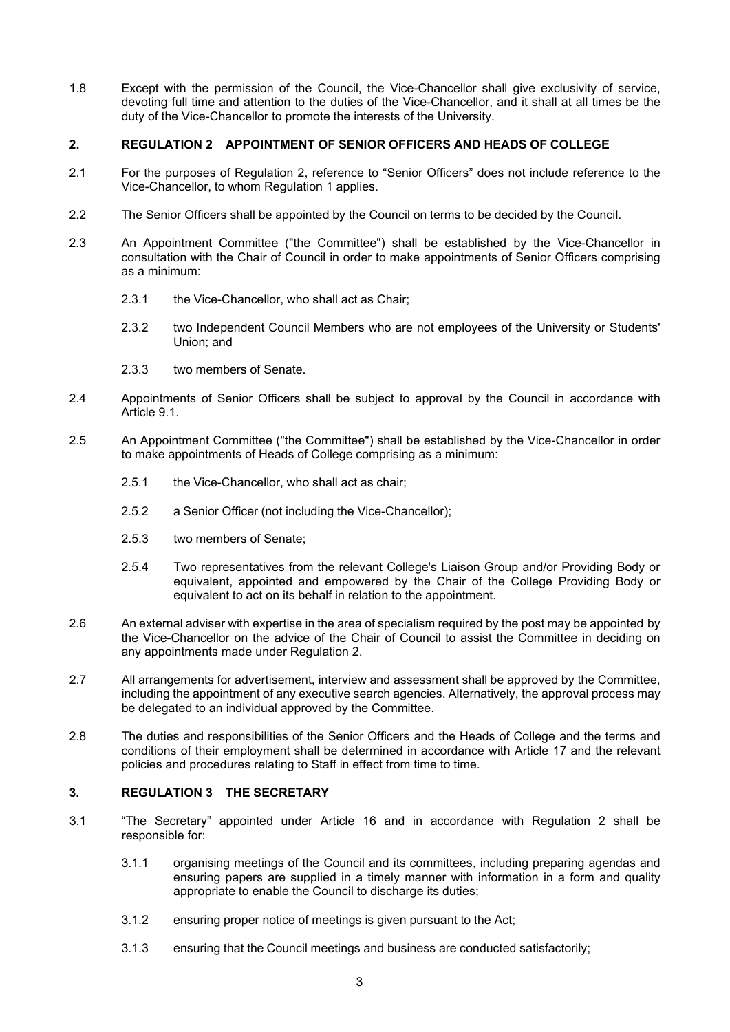1.8 Except with the permission of the Council, the Vice-Chancellor shall give exclusivity of service, devoting full time and attention to the duties of the Vice-Chancellor, and it shall at all times be the duty of the Vice-Chancellor to promote the interests of the University.

#### **2. REGULATION 2 APPOINTMENT OF SENIOR OFFICERS AND HEADS OF COLLEGE**

- 2.1 For the purposes of Regulation 2, reference to "Senior Officers" does not include reference to the Vice-Chancellor, to whom Regulation 1 applies.
- 2.2 The Senior Officers shall be appointed by the Council on terms to be decided by the Council.
- 2.3 An Appointment Committee ("the Committee") shall be established by the Vice-Chancellor in consultation with the Chair of Council in order to make appointments of Senior Officers comprising as a minimum:
	- 2.3.1 the Vice-Chancellor, who shall act as Chair;
	- 2.3.2 two Independent Council Members who are not employees of the University or Students' Union; and
	- 2.3.3 two members of Senate.
- 2.4 Appointments of Senior Officers shall be subject to approval by the Council in accordance with Article 9.1.
- 2.5 An Appointment Committee ("the Committee") shall be established by the Vice-Chancellor in order to make appointments of Heads of College comprising as a minimum:
	- 2.5.1 the Vice-Chancellor, who shall act as chair;
	- 2.5.2 a Senior Officer (not including the Vice-Chancellor);
	- 2.5.3 two members of Senate;
	- 2.5.4 Two representatives from the relevant College's Liaison Group and/or Providing Body or equivalent, appointed and empowered by the Chair of the College Providing Body or equivalent to act on its behalf in relation to the appointment.
- 2.6 An external adviser with expertise in the area of specialism required by the post may be appointed by the Vice-Chancellor on the advice of the Chair of Council to assist the Committee in deciding on any appointments made under Regulation 2.
- 2.7 All arrangements for advertisement, interview and assessment shall be approved by the Committee, including the appointment of any executive search agencies. Alternatively, the approval process may be delegated to an individual approved by the Committee.
- 2.8 The duties and responsibilities of the Senior Officers and the Heads of College and the terms and conditions of their employment shall be determined in accordance with Article 17 and the relevant policies and procedures relating to Staff in effect from time to time.

### **3. REGULATION 3 THE SECRETARY**

- 3.1 "The Secretary" appointed under Article 16 and in accordance with Regulation 2 shall be responsible for:
	- 3.1.1 organising meetings of the Council and its committees, including preparing agendas and ensuring papers are supplied in a timely manner with information in a form and quality appropriate to enable the Council to discharge its duties;
	- 3.1.2 ensuring proper notice of meetings is given pursuant to the Act;
	- 3.1.3 ensuring that the Council meetings and business are conducted satisfactorily;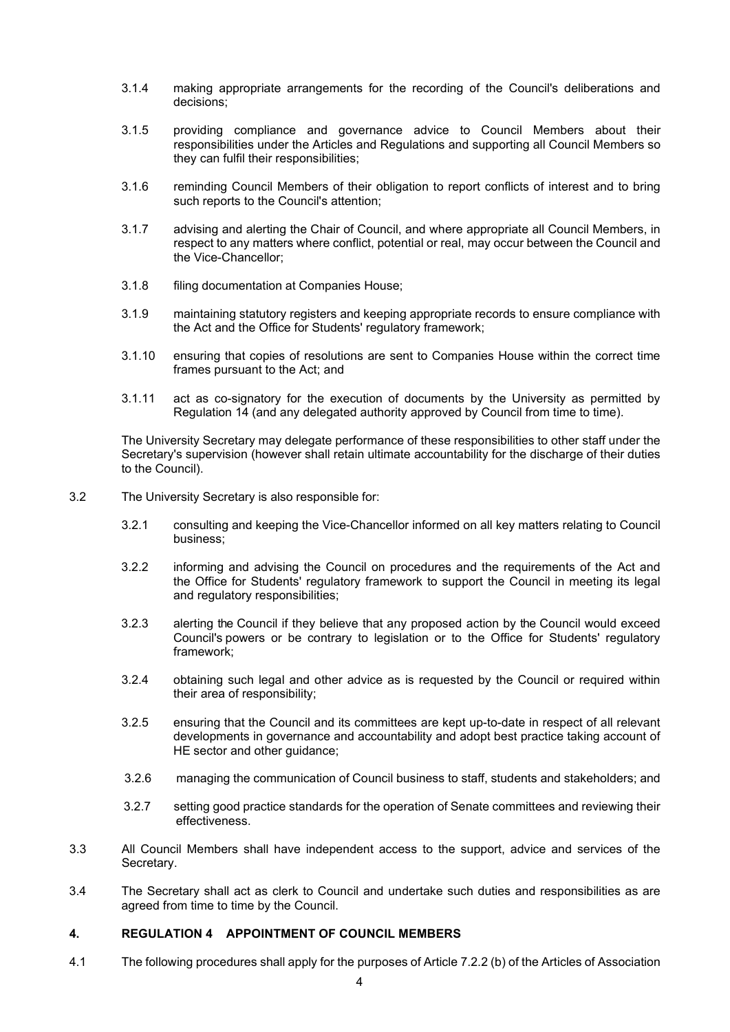- 3.1.4 making appropriate arrangements for the recording of the Council's deliberations and decisions;
- 3.1.5 providing compliance and governance advice to Council Members about their responsibilities under the Articles and Regulations and supporting all Council Members so they can fulfil their responsibilities;
- 3.1.6 reminding Council Members of their obligation to report conflicts of interest and to bring such reports to the Council's attention;
- 3.1.7 advising and alerting the Chair of Council, and where appropriate all Council Members, in respect to any matters where conflict, potential or real, may occur between the Council and the Vice-Chancellor;
- 3.1.8 filing documentation at Companies House;
- 3.1.9 maintaining statutory registers and keeping appropriate records to ensure compliance with the Act and the Office for Students' regulatory framework;
- 3.1.10 ensuring that copies of resolutions are sent to Companies House within the correct time frames pursuant to the Act; and
- 3.1.11 act as co-signatory for the execution of documents by the University as permitted by Regulation 14 (and any delegated authority approved by Council from time to time).

The University Secretary may delegate performance of these responsibilities to other staff under the Secretary's supervision (however shall retain ultimate accountability for the discharge of their duties to the Council).

- 3.2 The University Secretary is also responsible for:
	- 3.2.1 consulting and keeping the Vice-Chancellor informed on all key matters relating to Council business;
	- 3.2.2 informing and advising the Council on procedures and the requirements of the Act and the Office for Students' regulatory framework to support the Council in meeting its legal and regulatory responsibilities;
	- 3.2.3 alerting the Council if they believe that any proposed action by the Council would exceed Council's powers or be contrary to legislation or to the Office for Students' regulatory framework;
	- 3.2.4 obtaining such legal and other advice as is requested by the Council or required within their area of responsibility;
	- 3.2.5 ensuring that the Council and its committees are kept up-to-date in respect of all relevant developments in governance and accountability and adopt best practice taking account of HE sector and other guidance;
	- 3.2.6 managing the communication of Council business to staff, students and stakeholders; and
	- 3.2.7 setting good practice standards for the operation of Senate committees and reviewing their effectiveness.
- 3.3 All Council Members shall have independent access to the support, advice and services of the Secretary.
- 3.4 The Secretary shall act as clerk to Council and undertake such duties and responsibilities as are agreed from time to time by the Council.

#### **4. REGULATION 4 APPOINTMENT OF COUNCIL MEMBERS**

4.1 The following procedures shall apply for the purposes of Article 7.2.2 (b) of the Articles of Association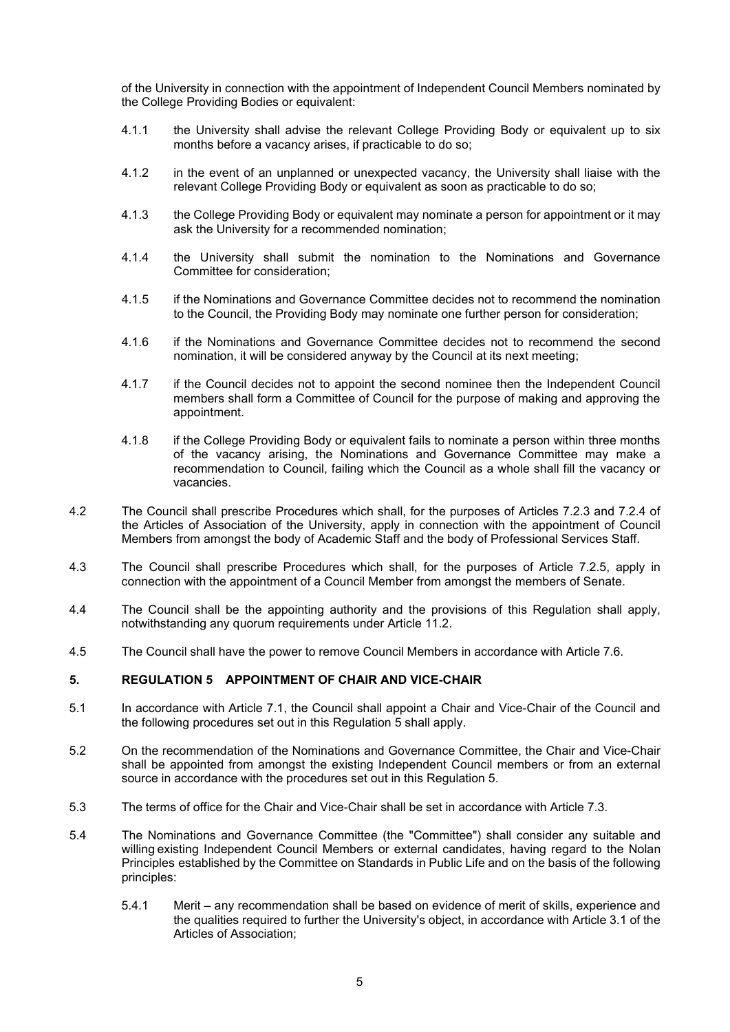of the University in connection with the appointment of Independent Council Members nominated by the College Providing Bodies or equivalent:

- 4.1.1 the University shall advise the relevant College Providing Body or equivalent up to six months before a vacancy arises, if practicable to do so;
- 4.1.2 in the event of an unplanned or unexpected vacancy, the University shall liaise with the relevant College Providing Body or equivalent as soon as practicable to do so;
- 4.1.3 the College Providing Body or equivalent may nominate a person for appointment or it may ask the University for a recommended nomination;
- 4.1.4 the University shall submit the nomination to the Nominations and Governance Committee for consideration;
- 4.1.5 if the Nominations and Governance Committee decides not to recommend the nomination to the Council, the Providing Body may nominate one further person for consideration;
- 4.1.6 if the Nominations and Governance Committee decides not to recommend the second nomination, it will be considered anyway by the Council at its next meeting;
- 4.1.7 if the Council decides not to appoint the second nominee then the Independent Council members shall form a Committee of Council for the purpose of making and approving the appointment.
- 4.1.8 if the College Providing Body or equivalent fails to nominate a person within three months of the vacancy arising, the Nominations and Governance Committee may make a recommendation to Council, failing which the Council as a whole shall fill the vacancy or vacancies.
- 4.2 The Council shall prescribe Procedures which shall, for the purposes of Articles 7.2.3 and 7.2.4 of the Articles of Association of the University, apply in connection with the appointment of Council Members from amongst the body of Academic Staff and the body of Professional Services Staff.
- 4.3 The Council shall prescribe Procedures which shall, for the purposes of Article 7.2.5, apply in connection with the appointment of a Council Member from amongst the members of Senate.
- 4.4 The Council shall be the appointing authority and the provisions of this Regulation shall apply, notwithstanding any quorum requirements under Article 11.2.
- 4.5 The Council shall have the power to remove Council Members in accordance with Article 7.6.

#### <span id="page-5-0"></span>**5. REGULATION 5 APPOINTMENT OF CHAIR AND VICE-CHAIR**

- 5.1 In accordance with Article 7.1, the Council shall appoint a Chair and Vice-Chair of the Council and the following procedures set out in this Regulation [5 s](#page-5-0)hall apply.
- 5.2 On the recommendation of the Nominations and Governance Committee, the Chair and Vice-Chair shall be appointed from amongst the existing Independent Council members or from an external source in accordance with the procedures set out in this Regulation [5.](#page-5-0)
- 5.3 The terms of office for the Chair and Vice-Chair shall be set in accordance with Article 7.3.
- 5.4 The Nominations and Governance Committee (the "Committee") shall consider any suitable and willing existing Independent Council Members or external candidates, having regard to the Nolan Principles established by the Committee on Standards in Public Life and on the basis of the following principles:
	- 5.4.1 Merit any recommendation shall be based on evidence of merit of skills, experience and the qualities required to further the University's object, in accordance with Article 3.1 of the Articles of Association;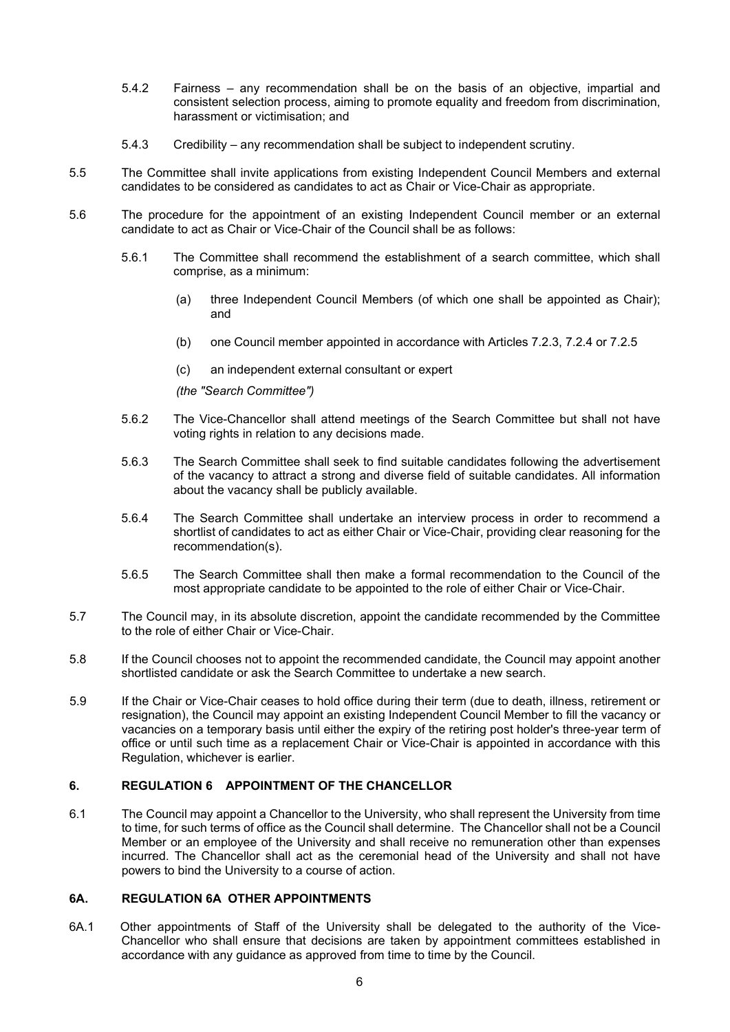- 5.4.2 Fairness any recommendation shall be on the basis of an objective, impartial and consistent selection process, aiming to promote equality and freedom from discrimination, harassment or victimisation; and
- 5.4.3 Credibility any recommendation shall be subject to independent scrutiny.
- 5.5 The Committee shall invite applications from existing Independent Council Members and external candidates to be considered as candidates to act as Chair or Vice-Chair as appropriate.
- 5.6 The procedure for the appointment of an existing Independent Council member or an external candidate to act as Chair or Vice-Chair of the Council shall be as follows:
	- 5.6.1 The Committee shall recommend the establishment of a search committee, which shall comprise, as a minimum:
		- (a) three Independent Council Members (of which one shall be appointed as Chair); and
		- (b) one Council member appointed in accordance with Articles 7.2.3, 7.2.4 or 7.2.5
		- (c) an independent external consultant or expert

*(the "Search Committee")*

- 5.6.2 The Vice-Chancellor shall attend meetings of the Search Committee but shall not have voting rights in relation to any decisions made.
- 5.6.3 The Search Committee shall seek to find suitable candidates following the advertisement of the vacancy to attract a strong and diverse field of suitable candidates. All information about the vacancy shall be publicly available.
- 5.6.4 The Search Committee shall undertake an interview process in order to recommend a shortlist of candidates to act as either Chair or Vice-Chair, providing clear reasoning for the recommendation(s).
- 5.6.5 The Search Committee shall then make a formal recommendation to the Council of the most appropriate candidate to be appointed to the role of either Chair or Vice-Chair.
- 5.7 The Council may, in its absolute discretion, appoint the candidate recommended by the Committee to the role of either Chair or Vice-Chair.
- 5.8 If the Council chooses not to appoint the recommended candidate, the Council may appoint another shortlisted candidate or ask the Search Committee to undertake a new search.
- 5.9 If the Chair or Vice-Chair ceases to hold office during their term (due to death, illness, retirement or resignation), the Council may appoint an existing Independent Council Member to fill the vacancy or vacancies on a temporary basis until either the expiry of the retiring post holder's three-year term of office or until such time as a replacement Chair or Vice-Chair is appointed in accordance with this Regulation, whichever is earlier.

#### **6. REGULATION 6 APPOINTMENT OF THE CHANCELLOR**

6.1 The Council may appoint a Chancellor to the University, who shall represent the University from time to time, for such terms of office as the Council shall determine. The Chancellor shall not be a Council Member or an employee of the University and shall receive no remuneration other than expenses incurred. The Chancellor shall act as the ceremonial head of the University and shall not have powers to bind the University to a course of action.

#### **6A. REGULATION 6A OTHER APPOINTMENTS**

6A.1 Other appointments of Staff of the University shall be delegated to the authority of the Vice-Chancellor who shall ensure that decisions are taken by appointment committees established in accordance with any guidance as approved from time to time by the Council.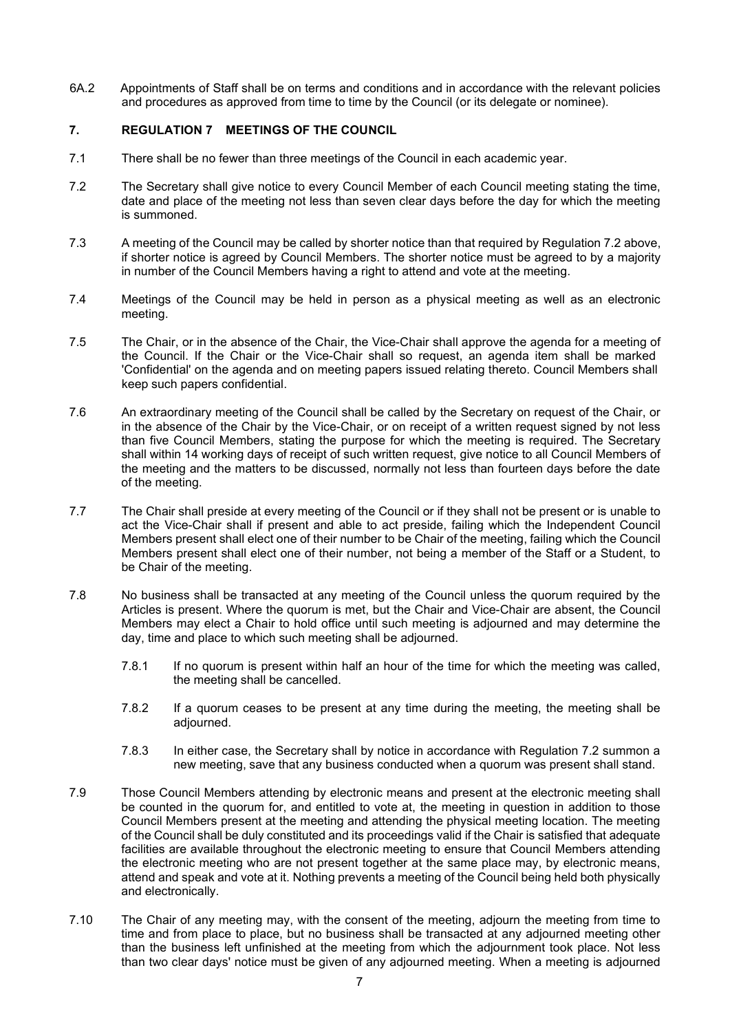6A.2 Appointments of Staff shall be on terms and conditions and in accordance with the relevant policies and procedures as approved from time to time by the Council (or its delegate or nominee).

## <span id="page-7-1"></span>**7. REGULATION 7 MEETINGS OF THE COUNCIL**

- 7.1 There shall be no fewer than three meetings of the Council in each academic year.
- <span id="page-7-0"></span>7.2 The Secretary shall give notice to every Council Member of each Council meeting stating the time, date and place of the meeting not less than seven clear days before the day for which the meeting is summoned.
- 7.3 A meeting of the Council may be called by shorter notice than that required by Regulation [7.2](#page-7-0) above, if shorter notice is agreed by Council Members. The shorter notice must be agreed to by a majority in number of the Council Members having a right to attend and vote at the meeting.
- 7.4 Meetings of the Council may be held in person as a physical meeting as well as an electronic meeting.
- 7.5 The Chair, or in the absence of the Chair, the Vice-Chair shall approve the agenda for a meeting of the Council. If the Chair or the Vice-Chair shall so request, an agenda item shall be marked 'Confidential' on the agenda and on meeting papers issued relating thereto. Council Members shall keep such papers confidential.
- 7.6 An extraordinary meeting of the Council shall be called by the Secretary on request of the Chair, or in the absence of the Chair by the Vice-Chair, or on receipt of a written request signed by not less than five Council Members, stating the purpose for which the meeting is required. The Secretary shall within 14 working days of receipt of such written request, give notice to all Council Members of the meeting and the matters to be discussed, normally not less than fourteen days before the date of the meeting.
- 7.7 The Chair shall preside at every meeting of the Council or if they shall not be present or is unable to act the Vice-Chair shall if present and able to act preside, failing which the Independent Council Members present shall elect one of their number to be Chair of the meeting, failing which the Council Members present shall elect one of their number, not being a member of the Staff or a Student, to be Chair of the meeting.
- 7.8 No business shall be transacted at any meeting of the Council unless the quorum required by the Articles is present. Where the quorum is met, but the Chair and Vice-Chair are absent, the Council Members may elect a Chair to hold office until such meeting is adjourned and may determine the day, time and place to which such meeting shall be adjourned.
	- 7.8.1 If no quorum is present within half an hour of the time for which the meeting was called, the meeting shall be cancelled.
	- 7.8.2 If a quorum ceases to be present at any time during the meeting, the meeting shall be adjourned.
	- 7.8.3 In either case, the Secretary shall by notice in accordance with Regulation [7.2](#page-7-0) summon a new meeting, save that any business conducted when a quorum was present shall stand.
- 7.9 Those Council Members attending by electronic means and present at the electronic meeting shall be counted in the quorum for, and entitled to vote at, the meeting in question in addition to those Council Members present at the meeting and attending the physical meeting location. The meeting of the Council shall be duly constituted and its proceedings valid if the Chair is satisfied that adequate facilities are available throughout the electronic meeting to ensure that Council Members attending the electronic meeting who are not present together at the same place may, by electronic means, attend and speak and vote at it. Nothing prevents a meeting of the Council being held both physically and electronically.
- 7.10 The Chair of any meeting may, with the consent of the meeting, adjourn the meeting from time to time and from place to place, but no business shall be transacted at any adjourned meeting other than the business left unfinished at the meeting from which the adjournment took place. Not less than two clear days' notice must be given of any adjourned meeting. When a meeting is adjourned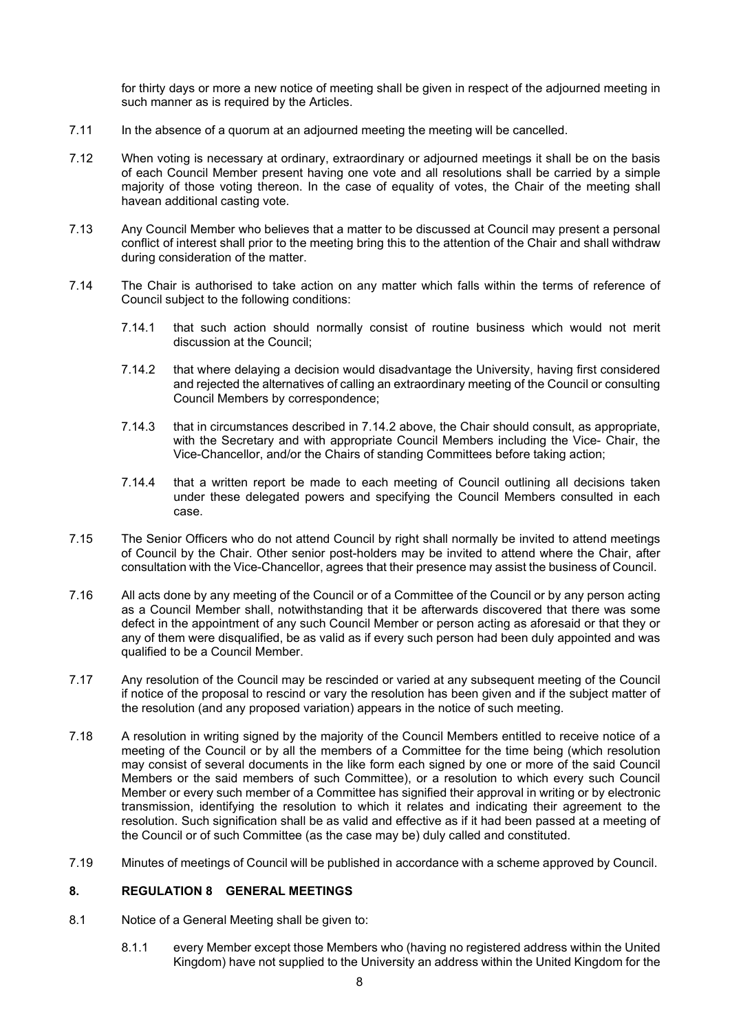for thirty days or more a new notice of meeting shall be given in respect of the adjourned meeting in such manner as is required by the Articles.

- 7.11 In the absence of a quorum at an adjourned meeting the meeting will be cancelled.
- 7.12 When voting is necessary at ordinary, extraordinary or adjourned meetings it shall be on the basis of each Council Member present having one vote and all resolutions shall be carried by a simple majority of those voting thereon. In the case of equality of votes, the Chair of the meeting shall havean additional casting vote.
- 7.13 Any Council Member who believes that a matter to be discussed at Council may present a personal conflict of interest shall prior to the meeting bring this to the attention of the Chair and shall withdraw during consideration of the matter.
- <span id="page-8-0"></span>7.14 The Chair is authorised to take action on any matter which falls within the terms of reference of Council subject to the following conditions:
	- 7.14.1 that such action should normally consist of routine business which would not merit discussion at the Council;
	- 7.14.2 that where delaying a decision would disadvantage the University, having first considered and rejected the alternatives of calling an extraordinary meeting of the Council or consulting Council Members by correspondence;
	- 7.14.3 that in circumstances described in [7.14.2 a](#page-8-0)bove, the Chair should consult, as appropriate, with the Secretary and with appropriate Council Members including the Vice- Chair, the Vice-Chancellor, and/or the Chairs of standing Committees before taking action;
	- 7.14.4 that a written report be made to each meeting of Council outlining all decisions taken under these delegated powers and specifying the Council Members consulted in each case.
- 7.15 The Senior Officers who do not attend Council by right shall normally be invited to attend meetings of Council by the Chair. Other senior post-holders may be invited to attend where the Chair, after consultation with the Vice-Chancellor, agrees that their presence may assist the business of Council.
- 7.16 All acts done by any meeting of the Council or of a Committee of the Council or by any person acting as a Council Member shall, notwithstanding that it be afterwards discovered that there was some defect in the appointment of any such Council Member or person acting as aforesaid or that they or any of them were disqualified, be as valid as if every such person had been duly appointed and was qualified to be a Council Member.
- 7.17 Any resolution of the Council may be rescinded or varied at any subsequent meeting of the Council if notice of the proposal to rescind or vary the resolution has been given and if the subject matter of the resolution (and any proposed variation) appears in the notice of such meeting.
- 7.18 A resolution in writing signed by the majority of the Council Members entitled to receive notice of a meeting of the Council or by all the members of a Committee for the time being (which resolution may consist of several documents in the like form each signed by one or more of the said Council Members or the said members of such Committee), or a resolution to which every such Council Member or every such member of a Committee has signified their approval in writing or by electronic transmission, identifying the resolution to which it relates and indicating their agreement to the resolution. Such signification shall be as valid and effective as if it had been passed at a meeting of the Council or of such Committee (as the case may be) duly called and constituted.
- <span id="page-8-1"></span>7.19 Minutes of meetings of Council will be published in accordance with a scheme approved by Council.

## **8. REGULATION 8 GENERAL MEETINGS**

- 8.1 Notice of a General Meeting shall be given to:
	- 8.1.1 every Member except those Members who (having no registered address within the United Kingdom) have not supplied to the University an address within the United Kingdom for the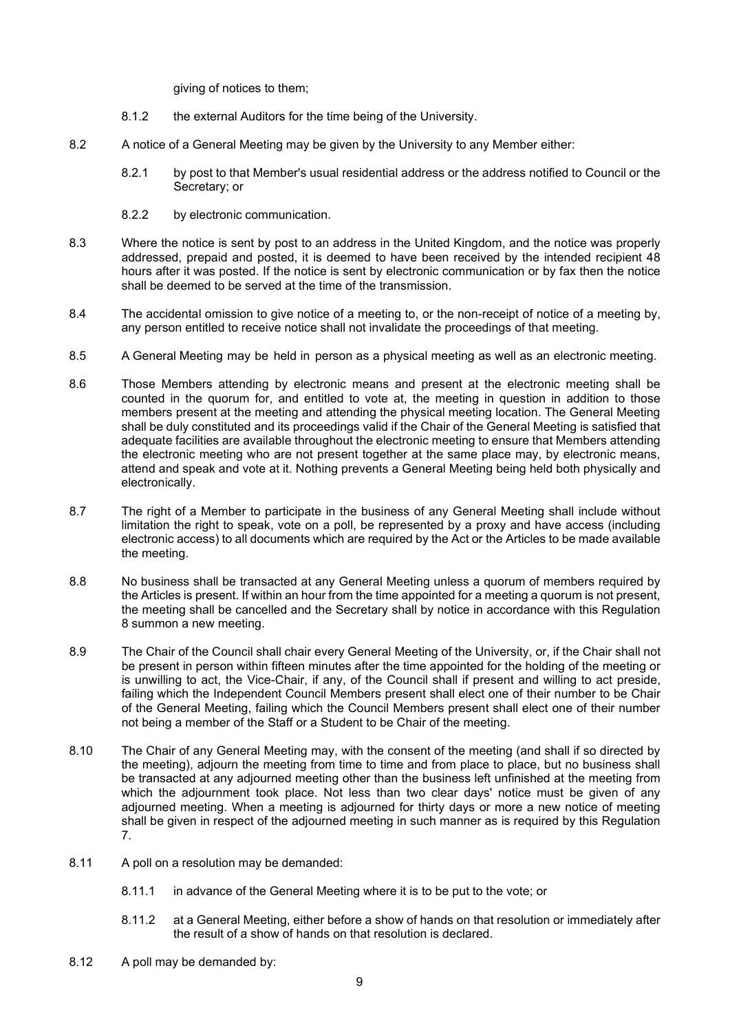giving of notices to them;

- 8.1.2 the external Auditors for the time being of the University.
- 8.2 A notice of a General Meeting may be given by the University to any Member either:
	- 8.2.1 by post to that Member's usual residential address or the address notified to Council or the Secretary; or
	- 8.2.2 by electronic communication.
- 8.3 Where the notice is sent by post to an address in the United Kingdom, and the notice was properly addressed, prepaid and posted, it is deemed to have been received by the intended recipient 48 hours after it was posted. If the notice is sent by electronic communication or by fax then the notice shall be deemed to be served at the time of the transmission.
- 8.4 The accidental omission to give notice of a meeting to, or the non-receipt of notice of a meeting by, any person entitled to receive notice shall not invalidate the proceedings of that meeting.
- 8.5 A General Meeting may be held in person as a physical meeting as well as an electronic meeting.
- 8.6 Those Members attending by electronic means and present at the electronic meeting shall be counted in the quorum for, and entitled to vote at, the meeting in question in addition to those members present at the meeting and attending the physical meeting location. The General Meeting shall be duly constituted and its proceedings valid if the Chair of the General Meeting is satisfied that adequate facilities are available throughout the electronic meeting to ensure that Members attending the electronic meeting who are not present together at the same place may, by electronic means, attend and speak and vote at it. Nothing prevents a General Meeting being held both physically and electronically.
- 8.7 The right of a Member to participate in the business of any General Meeting shall include without limitation the right to speak, vote on a poll, be represented by a proxy and have access (including electronic access) to all documents which are required by the Act or the Articles to be made available the meeting.
- 8.8 No business shall be transacted at any General Meeting unless a quorum of members required by the Articles is present. If within an hour from the time appointed for a meeting a quorum is not present, the meeting shall be cancelled and the Secretary shall by notice in accordance with this Regulation [8 s](#page-8-1)ummon a new meeting.
- 8.9 The Chair of the Council shall chair every General Meeting of the University, or, if the Chair shall not be present in person within fifteen minutes after the time appointed for the holding of the meeting or is unwilling to act, the Vice-Chair, if any, of the Council shall if present and willing to act preside, failing which the Independent Council Members present shall elect one of their number to be Chair of the General Meeting, failing which the Council Members present shall elect one of their number not being a member of the Staff or a Student to be Chair of the meeting.
- 8.10 The Chair of any General Meeting may, with the consent of the meeting (and shall if so directed by the meeting), adjourn the meeting from time to time and from place to place, but no business shall be transacted at any adjourned meeting other than the business left unfinished at the meeting from which the adjournment took place. Not less than two clear days' notice must be given of any adjourned meeting. When a meeting is adjourned for thirty days or more a new notice of meeting shall be given in respect of the adjourned meeting in such manner as is required by this Regulation [7.](#page-7-1)
- 8.11 A poll on a resolution may be demanded:
	- 8.11.1 in advance of the General Meeting where it is to be put to the vote; or
	- 8.11.2 at a General Meeting, either before a show of hands on that resolution or immediately after the result of a show of hands on that resolution is declared.
- 8.12 A poll may be demanded by: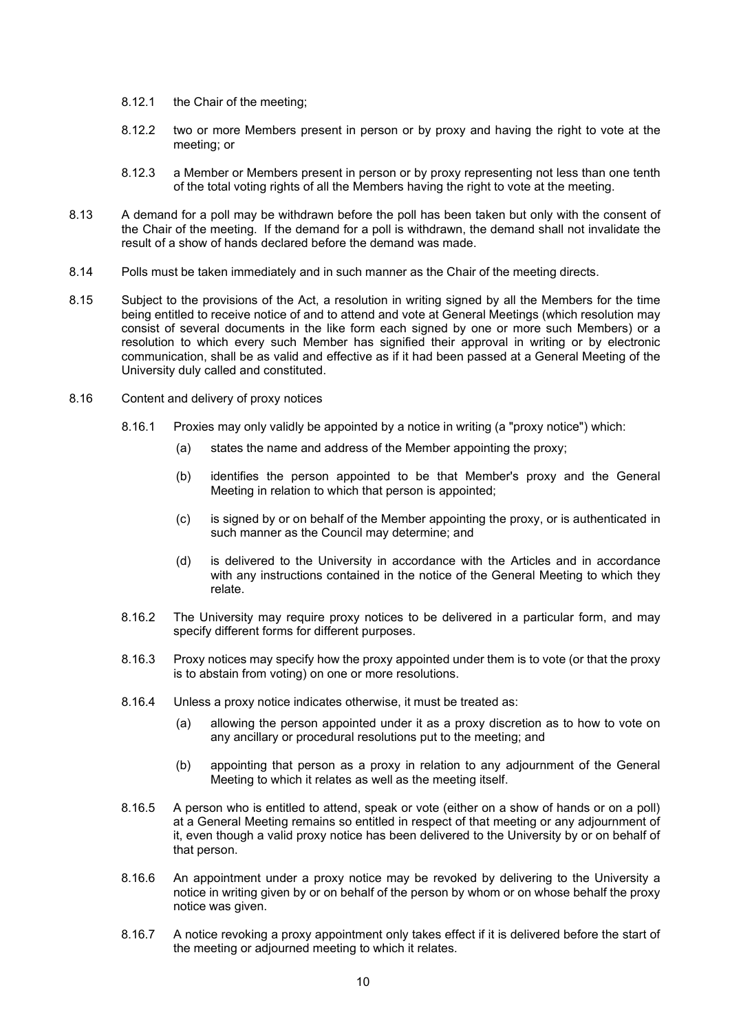- 8.12.1 the Chair of the meeting;
- 8.12.2 two or more Members present in person or by proxy and having the right to vote at the meeting; or
- 8.12.3 a Member or Members present in person or by proxy representing not less than one tenth of the total voting rights of all the Members having the right to vote at the meeting.
- 8.13 A demand for a poll may be withdrawn before the poll has been taken but only with the consent of the Chair of the meeting. If the demand for a poll is withdrawn, the demand shall not invalidate the result of a show of hands declared before the demand was made.
- 8.14 Polls must be taken immediately and in such manner as the Chair of the meeting directs.
- 8.15 Subject to the provisions of the Act, a resolution in writing signed by all the Members for the time being entitled to receive notice of and to attend and vote at General Meetings (which resolution may consist of several documents in the like form each signed by one or more such Members) or a resolution to which every such Member has signified their approval in writing or by electronic communication, shall be as valid and effective as if it had been passed at a General Meeting of the University duly called and constituted.
- 8.16 Content and delivery of proxy notices
	- 8.16.1 Proxies may only validly be appointed by a notice in writing (a "proxy notice") which:
		- (a) states the name and address of the Member appointing the proxy;
		- (b) identifies the person appointed to be that Member's proxy and the General Meeting in relation to which that person is appointed;
		- (c) is signed by or on behalf of the Member appointing the proxy, or is authenticated in such manner as the Council may determine; and
		- (d) is delivered to the University in accordance with the Articles and in accordance with any instructions contained in the notice of the General Meeting to which they relate.
	- 8.16.2 The University may require proxy notices to be delivered in a particular form, and may specify different forms for different purposes.
	- 8.16.3 Proxy notices may specify how the proxy appointed under them is to vote (or that the proxy is to abstain from voting) on one or more resolutions.
	- 8.16.4 Unless a proxy notice indicates otherwise, it must be treated as:
		- (a) allowing the person appointed under it as a proxy discretion as to how to vote on any ancillary or procedural resolutions put to the meeting; and
		- (b) appointing that person as a proxy in relation to any adjournment of the General Meeting to which it relates as well as the meeting itself.
	- 8.16.5 A person who is entitled to attend, speak or vote (either on a show of hands or on a poll) at a General Meeting remains so entitled in respect of that meeting or any adjournment of it, even though a valid proxy notice has been delivered to the University by or on behalf of that person.
	- 8.16.6 An appointment under a proxy notice may be revoked by delivering to the University a notice in writing given by or on behalf of the person by whom or on whose behalf the proxy notice was given.
	- 8.16.7 A notice revoking a proxy appointment only takes effect if it is delivered before the start of the meeting or adjourned meeting to which it relates.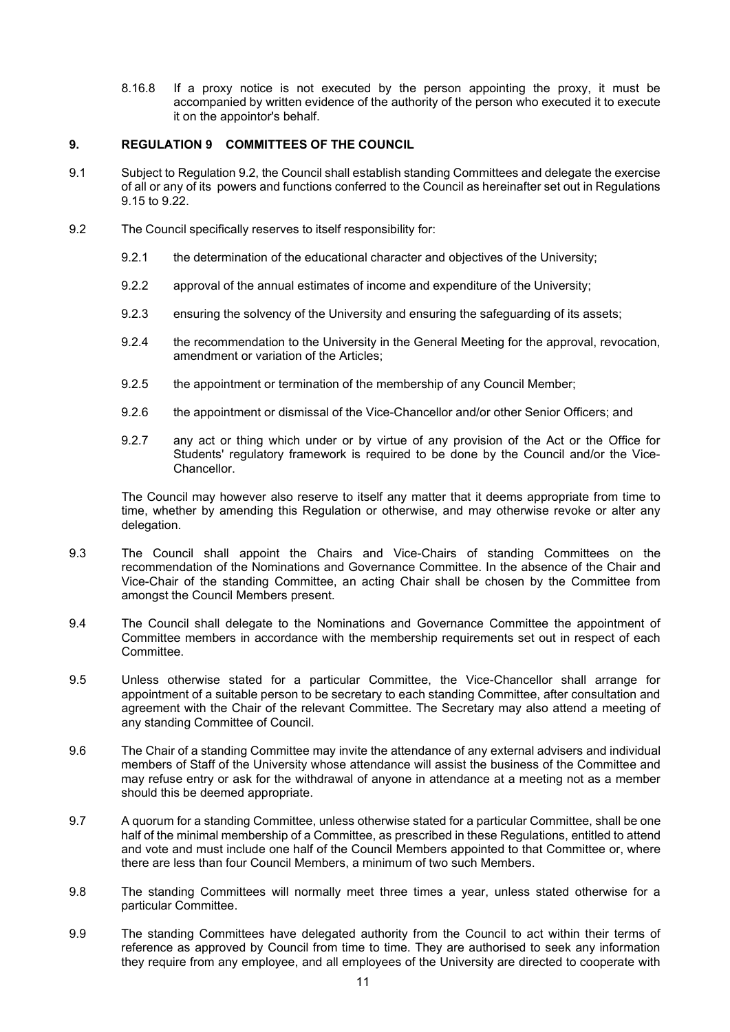8.16.8 If a proxy notice is not executed by the person appointing the proxy, it must be accompanied by written evidence of the authority of the person who executed it to execute it on the appointor's behalf.

### **9. REGULATION 9 COMMITTEES OF THE COUNCIL**

- 9.1 Subject to Regulation [9.2,](#page-11-0) the Council shall establish standing Committees and delegate the exercise of all or any of its powers and functions conferred to the Council as hereinafter set out in Regulations [9.15](#page-12-0) to [9.22.](#page-22-0)
- <span id="page-11-0"></span>9.2 The Council specifically reserves to itself responsibility for:
	- 9.2.1 the determination of the educational character and objectives of the University;
	- 9.2.2 approval of the annual estimates of income and expenditure of the University;
	- 9.2.3 ensuring the solvency of the University and ensuring the safeguarding of its assets;
	- 9.2.4 the recommendation to the University in the General Meeting for the approval, revocation, amendment or variation of the Articles;
	- 9.2.5 the appointment or termination of the membership of any Council Member;
	- 9.2.6 the appointment or dismissal of the Vice-Chancellor and/or other Senior Officers; and
	- 9.2.7 any act or thing which under or by virtue of any provision of the Act or the Office for Students' regulatory framework is required to be done by the Council and/or the Vice-Chancellor.

The Council may however also reserve to itself any matter that it deems appropriate from time to time, whether by amending this Regulation or otherwise, and may otherwise revoke or alter any delegation.

- 9.3 The Council shall appoint the Chairs and Vice-Chairs of standing Committees on the recommendation of the Nominations and Governance Committee. In the absence of the Chair and Vice-Chair of the standing Committee, an acting Chair shall be chosen by the Committee from amongst the Council Members present.
- 9.4 The Council shall delegate to the Nominations and Governance Committee the appointment of Committee members in accordance with the membership requirements set out in respect of each Committee.
- 9.5 Unless otherwise stated for a particular Committee, the Vice-Chancellor shall arrange for appointment of a suitable person to be secretary to each standing Committee, after consultation and agreement with the Chair of the relevant Committee. The Secretary may also attend a meeting of any standing Committee of Council.
- 9.6 The Chair of a standing Committee may invite the attendance of any external advisers and individual members of Staff of the University whose attendance will assist the business of the Committee and may refuse entry or ask for the withdrawal of anyone in attendance at a meeting not as a member should this be deemed appropriate.
- 9.7 A quorum for a standing Committee, unless otherwise stated for a particular Committee, shall be one half of the minimal membership of a Committee, as prescribed in these Regulations, entitled to attend and vote and must include one half of the Council Members appointed to that Committee or, where there are less than four Council Members, a minimum of two such Members.
- 9.8 The standing Committees will normally meet three times a year, unless stated otherwise for a particular Committee.
- 9.9 The standing Committees have delegated authority from the Council to act within their terms of reference as approved by Council from time to time. They are authorised to seek any information they require from any employee, and all employees of the University are directed to cooperate with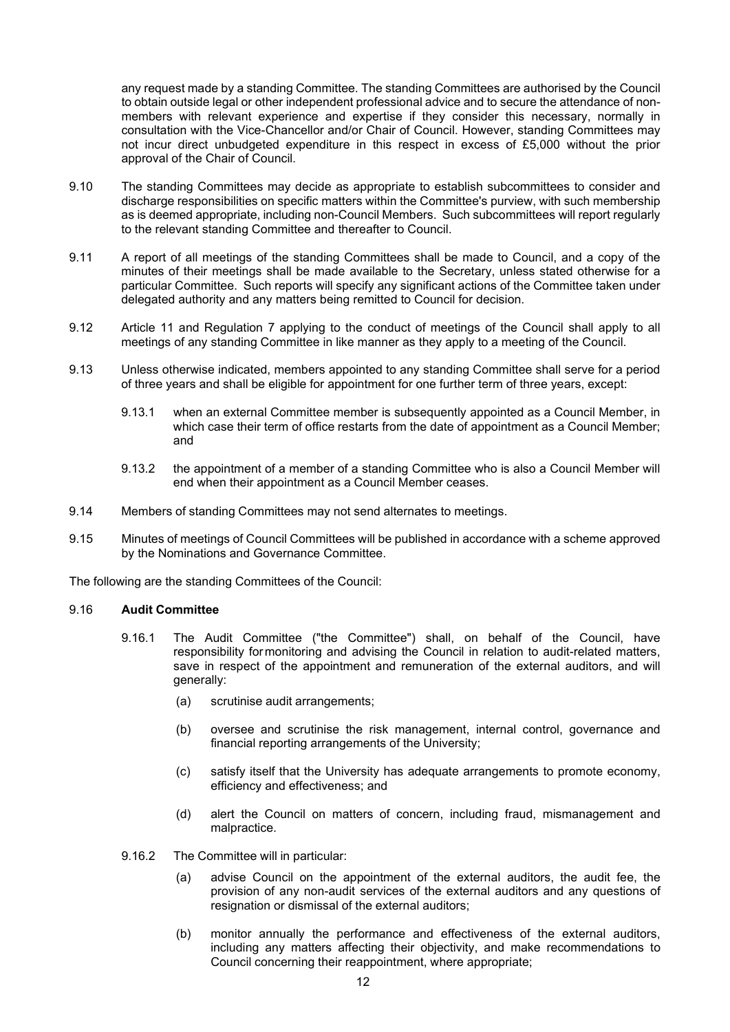any request made by a standing Committee. The standing Committees are authorised by the Council to obtain outside legal or other independent professional advice and to secure the attendance of nonmembers with relevant experience and expertise if they consider this necessary, normally in consultation with the Vice-Chancellor and/or Chair of Council. However, standing Committees may not incur direct unbudgeted expenditure in this respect in excess of £5,000 without the prior approval of the Chair of Council*.* 

- 9.10 The standing Committees may decide as appropriate to establish subcommittees to consider and discharge responsibilities on specific matters within the Committee's purview, with such membership as is deemed appropriate, including non-Council Members. Such subcommittees will report regularly to the relevant standing Committee and thereafter to Council.
- 9.11 A report of all meetings of the standing Committees shall be made to Council, and a copy of the minutes of their meetings shall be made available to the Secretary, unless stated otherwise for a particular Committee. Such reports will specify any significant actions of the Committee taken under delegated authority and any matters being remitted to Council for decision.
- 9.12 Article 11 and Regulation [7 a](#page-7-1)pplying to the conduct of meetings of the Council shall apply to all meetings of any standing Committee in like manner as they apply to a meeting of the Council.
- 9.13 Unless otherwise indicated, members appointed to any standing Committee shall serve for a period of three years and shall be eligible for appointment for one further term of three years, except:
	- 9.13.1 when an external Committee member is subsequently appointed as a Council Member, in which case their term of office restarts from the date of appointment as a Council Member; and
	- 9.13.2 the appointment of a member of a standing Committee who is also a Council Member will end when their appointment as a Council Member ceases.
- 9.14 Members of standing Committees may not send alternates to meetings.
- 9.15 Minutes of meetings of Council Committees will be published in accordance with a scheme approved by the Nominations and Governance Committee.

The following are the standing Committees of the Council:

#### <span id="page-12-0"></span>9.16 **Audit Committee**

- 9.16.1 The Audit Committee ("the Committee") shall, on behalf of the Council, have responsibility formonitoring and advising the Council in relation to audit-related matters, save in respect of the appointment and remuneration of the external auditors, and will generally:
	- (a) scrutinise audit arrangements;
	- (b) oversee and scrutinise the risk management, internal control, governance and financial reporting arrangements of the University;
	- (c) satisfy itself that the University has adequate arrangements to promote economy, efficiency and effectiveness; and
	- (d) alert the Council on matters of concern, including fraud, mismanagement and malpractice.
- 9.16.2 The Committee will in particular:
	- (a) advise Council on the appointment of the external auditors, the audit fee, the provision of any non-audit services of the external auditors and any questions of resignation or dismissal of the external auditors;
	- (b) monitor annually the performance and effectiveness of the external auditors, including any matters affecting their objectivity, and make recommendations to Council concerning their reappointment, where appropriate;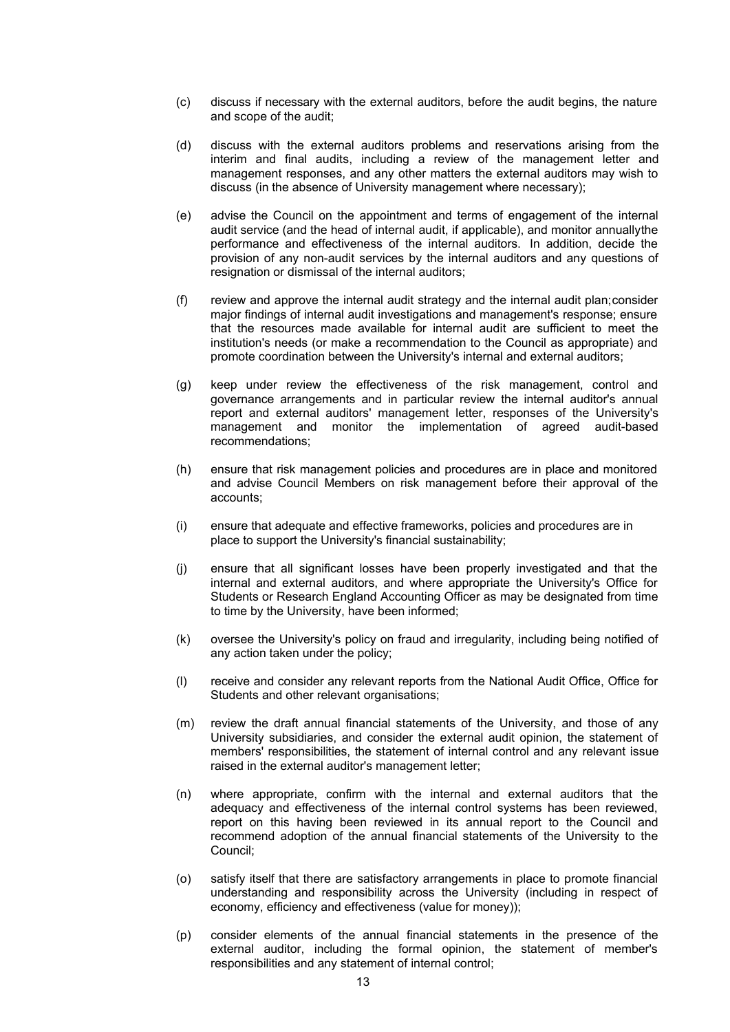- (c) discuss if necessary with the external auditors, before the audit begins, the nature and scope of the audit;
- (d) discuss with the external auditors problems and reservations arising from the interim and final audits, including a review of the management letter and management responses, and any other matters the external auditors may wish to discuss (in the absence of University management where necessary);
- (e) advise the Council on the appointment and terms of engagement of the internal audit service (and the head of internal audit, if applicable), and monitor annuallythe performance and effectiveness of the internal auditors. In addition, decide the provision of any non-audit services by the internal auditors and any questions of resignation or dismissal of the internal auditors;
- (f) review and approve the internal audit strategy and the internal audit plan;consider major findings of internal audit investigations and management's response; ensure that the resources made available for internal audit are sufficient to meet the institution's needs (or make a recommendation to the Council as appropriate) and promote coordination between the University's internal and external auditors;
- (g) keep under review the effectiveness of the risk management, control and governance arrangements and in particular review the internal auditor's annual report and external auditors' management letter, responses of the University's management and monitor the implementation of agreed audit-based recommendations;
- (h) ensure that risk management policies and procedures are in place and monitored and advise Council Members on risk management before their approval of the accounts;
- (i) ensure that adequate and effective frameworks, policies and procedures are in place to support the University's financial sustainability;
- (j) ensure that all significant losses have been properly investigated and that the internal and external auditors, and where appropriate the University's Office for Students or Research England Accounting Officer as may be designated from time to time by the University, have been informed;
- (k) oversee the University's policy on fraud and irregularity, including being notified of any action taken under the policy;
- (l) receive and consider any relevant reports from the National Audit Office, Office for Students and other relevant organisations;
- (m) review the draft annual financial statements of the University, and those of any University subsidiaries, and consider the external audit opinion, the statement of members' responsibilities, the statement of internal control and any relevant issue raised in the external auditor's management letter;
- (n) where appropriate, confirm with the internal and external auditors that the adequacy and effectiveness of the internal control systems has been reviewed, report on this having been reviewed in its annual report to the Council and recommend adoption of the annual financial statements of the University to the Council;
- (o) satisfy itself that there are satisfactory arrangements in place to promote financial understanding and responsibility across the University (including in respect of economy, efficiency and effectiveness (value for money));
- (p) consider elements of the annual financial statements in the presence of the external auditor, including the formal opinion, the statement of member's responsibilities and any statement of internal control;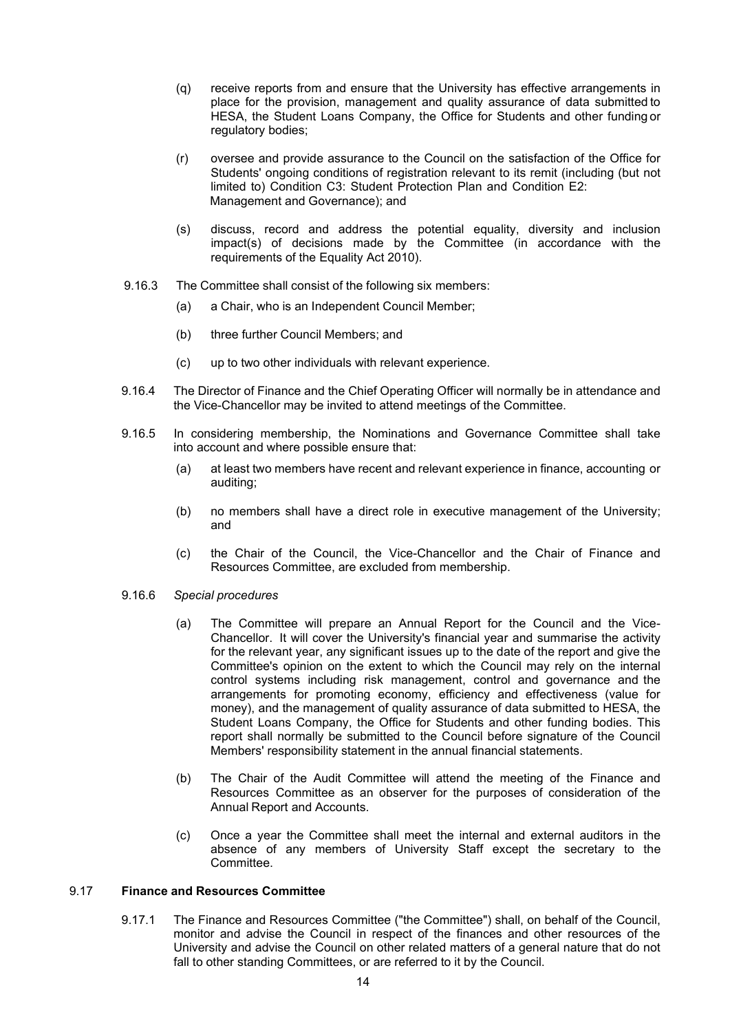- (q) receive reports from and ensure that the University has effective arrangements in place for the provision, management and quality assurance of data submitted to HESA, the Student Loans Company, the Office for Students and other funding or regulatory bodies;
- (r) oversee and provide assurance to the Council on the satisfaction of the Office for Students' ongoing conditions of registration relevant to its remit (including (but not limited to) Condition C3: Student Protection Plan and Condition E2: Management and Governance); and
- (s) discuss, record and address the potential equality, diversity and inclusion impact(s) of decisions made by the Committee (in accordance with the requirements of the Equality Act 2010).
- 9.16.3 The Committee shall consist of the following six members:
	- (a) a Chair, who is an Independent Council Member;
	- (b) three further Council Members; and
	- (c) up to two other individuals with relevant experience.
- 9.16.4 The Director of Finance and the Chief Operating Officer will normally be in attendance and the Vice-Chancellor may be invited to attend meetings of the Committee.
- 9.16.5 In considering membership, the Nominations and Governance Committee shall take into account and where possible ensure that:
	- (a) at least two members have recent and relevant experience in finance, accounting or auditing;
	- (b) no members shall have a direct role in executive management of the University; and
	- (c) the Chair of the Council, the Vice-Chancellor and the Chair of Finance and Resources Committee, are excluded from membership.
- 9.16.6 *Special procedures*
	- (a) The Committee will prepare an Annual Report for the Council and the Vice-Chancellor. It will cover the University's financial year and summarise the activity for the relevant year, any significant issues up to the date of the report and give the Committee's opinion on the extent to which the Council may rely on the internal control systems including risk management, control and governance and the arrangements for promoting economy, efficiency and effectiveness (value for money), and the management of quality assurance of data submitted to HESA, the Student Loans Company, the Office for Students and other funding bodies. This report shall normally be submitted to the Council before signature of the Council Members' responsibility statement in the annual financial statements.
	- (b) The Chair of the Audit Committee will attend the meeting of the Finance and Resources Committee as an observer for the purposes of consideration of the Annual Report and Accounts.
	- (c) Once a year the Committee shall meet the internal and external auditors in the absence of any members of University Staff except the secretary to the Committee.

### 9.17 **Finance and Resources Committee**

9.17.1 The Finance and Resources Committee ("the Committee") shall, on behalf of the Council, monitor and advise the Council in respect of the finances and other resources of the University and advise the Council on other related matters of a general nature that do not fall to other standing Committees, or are referred to it by the Council.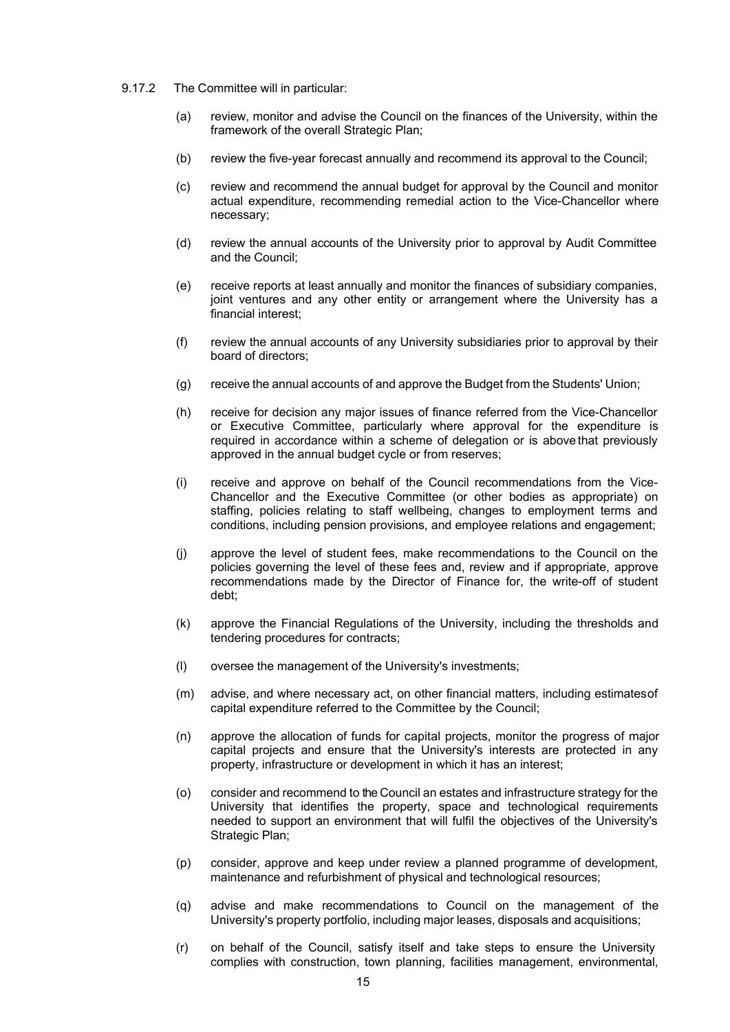- 9.17.2 The Committee will in particular:
	- (a) review, monitor and advise the Council on the finances of the University, within the framework of the overall Strategic Plan;
	- (b) review the five-year forecast annually and recommend its approval to the Council;
	- (c) review and recommend the annual budget for approval by the Council and monitor actual expenditure, recommending remedial action to the Vice-Chancellor where necessary;
	- (d) review the annual accounts of the University prior to approval by Audit Committee and the Council;
	- (e) receive reports at least annually and monitor the finances of subsidiary companies, joint ventures and any other entity or arrangement where the University has a financial interest;
	- (f) review the annual accounts of any University subsidiaries prior to approval by their board of directors;
	- (g) receive the annual accounts of and approve the Budget from the Students' Union;
	- (h) receive for decision any major issues of finance referred from the Vice-Chancellor or Executive Committee, particularly where approval for the expenditure is required in accordance within a scheme of delegation or is above that previously approved in the annual budget cycle or from reserves;
	- (i) receive and approve on behalf of the Council recommendations from the Vice-Chancellor and the Executive Committee (or other bodies as appropriate) on staffing, policies relating to staff wellbeing, changes to employment terms and conditions, including pension provisions, and employee relations and engagement;
	- (j) approve the level of student fees, make recommendations to the Council on the policies governing the level of these fees and, review and if appropriate, approve recommendations made by the Director of Finance for, the write-off of student debt;
	- (k) approve the Financial Regulations of the University, including the thresholds and tendering procedures for contracts;
	- (l) oversee the management of the University's investments;
	- (m) advise, and where necessary act, on other financial matters, including estimatesof capital expenditure referred to the Committee by the Council;
	- (n) approve the allocation of funds for capital projects, monitor the progress of major capital projects and ensure that the University's interests are protected in any property, infrastructure or development in which it has an interest;
	- (o) consider and recommend to the Council an estates and infrastructure strategy for the University that identifies the property, space and technological requirements needed to support an environment that will fulfil the objectives of the University's Strategic Plan;
	- (p) consider, approve and keep under review a planned programme of development, maintenance and refurbishment of physical and technological resources;
	- (q) advise and make recommendations to Council on the management of the University's property portfolio, including major leases, disposals and acquisitions;
	- (r) on behalf of the Council, satisfy itself and take steps to ensure the University complies with construction, town planning, facilities management, environmental,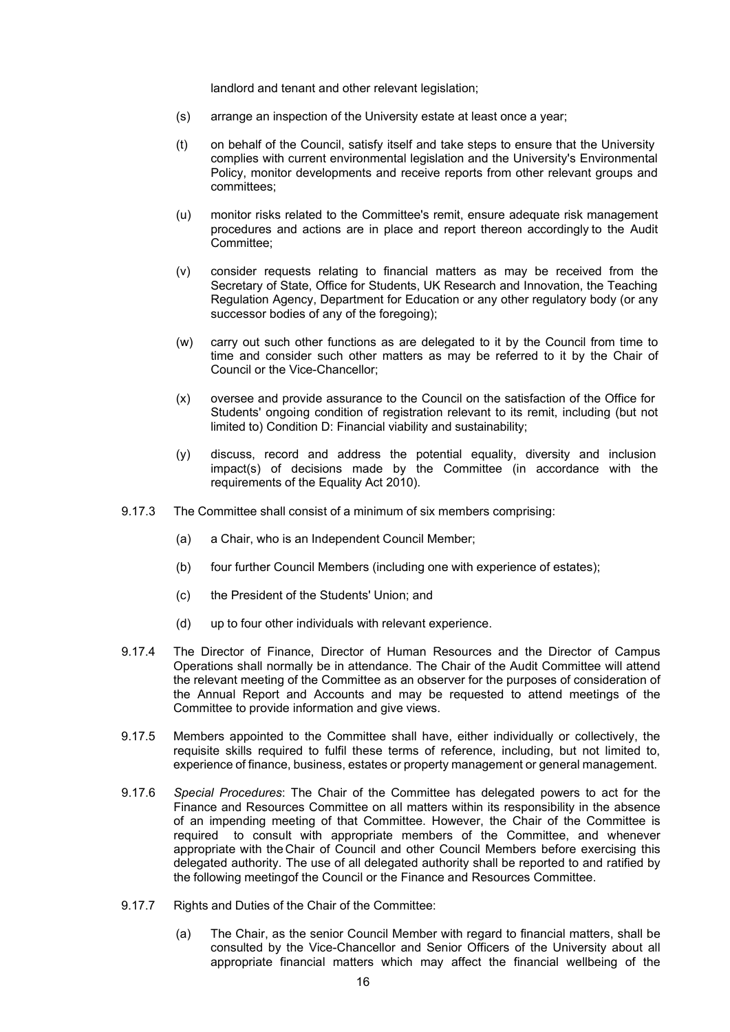landlord and tenant and other relevant legislation;

- (s) arrange an inspection of the University estate at least once a year;
- (t) on behalf of the Council, satisfy itself and take steps to ensure that the University complies with current environmental legislation and the University's Environmental Policy, monitor developments and receive reports from other relevant groups and committees;
- (u) monitor risks related to the Committee's remit, ensure adequate risk management procedures and actions are in place and report thereon accordingly to the Audit Committee;
- (v) consider requests relating to financial matters as may be received from the Secretary of State, Office for Students, UK Research and Innovation, the Teaching Regulation Agency, Department for Education or any other regulatory body (or any successor bodies of any of the foregoing);
- (w) carry out such other functions as are delegated to it by the Council from time to time and consider such other matters as may be referred to it by the Chair of Council or the Vice-Chancellor;
- (x) oversee and provide assurance to the Council on the satisfaction of the Office for Students' ongoing condition of registration relevant to its remit, including (but not limited to) Condition D: Financial viability and sustainability;
- (y) discuss, record and address the potential equality, diversity and inclusion impact(s) of decisions made by the Committee (in accordance with the requirements of the Equality Act 2010).
- 9.17.3 The Committee shall consist of a minimum of six members comprising:
	- (a) a Chair, who is an Independent Council Member;
	- (b) four further Council Members (including one with experience of estates);
	- (c) the President of the Students' Union; and
	- (d) up to four other individuals with relevant experience.
- 9.17.4 The Director of Finance, Director of Human Resources and the Director of Campus Operations shall normally be in attendance. The Chair of the Audit Committee will attend the relevant meeting of the Committee as an observer for the purposes of consideration of the Annual Report and Accounts and may be requested to attend meetings of the Committee to provide information and give views.
- 9.17.5 Members appointed to the Committee shall have, either individually or collectively, the requisite skills required to fulfil these terms of reference, including, but not limited to, experience of finance, business, estates or property management or general management.
- 9.17.6 *Special Procedures*: The Chair of the Committee has delegated powers to act for the Finance and Resources Committee on all matters within its responsibility in the absence of an impending meeting of that Committee. However, the Chair of the Committee is required to consult with appropriate members of the Committee, and whenever appropriate with theChair of Council and other Council Members before exercising this delegated authority. The use of all delegated authority shall be reported to and ratified by the following meetingof the Council or the Finance and Resources Committee.
- 9.17.7 Rights and Duties of the Chair of the Committee:
	- (a) The Chair, as the senior Council Member with regard to financial matters, shall be consulted by the Vice-Chancellor and Senior Officers of the University about all appropriate financial matters which may affect the financial wellbeing of the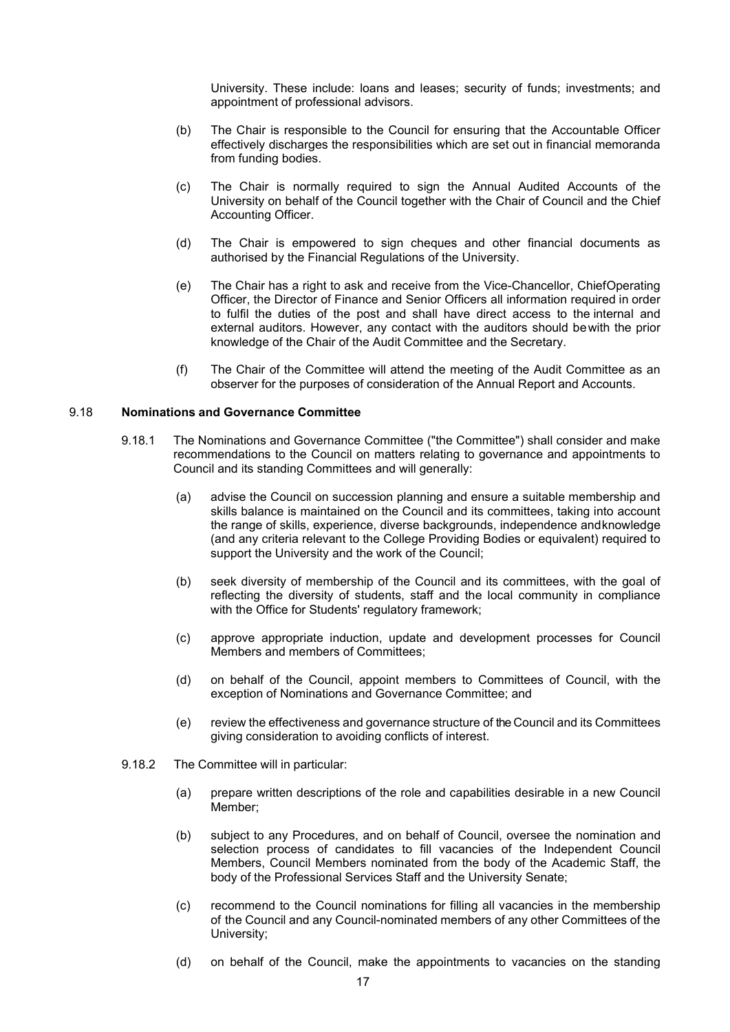University. These include: loans and leases; security of funds; investments; and appointment of professional advisors.

- (b) The Chair is responsible to the Council for ensuring that the Accountable Officer effectively discharges the responsibilities which are set out in financial memoranda from funding bodies.
- (c) The Chair is normally required to sign the Annual Audited Accounts of the University on behalf of the Council together with the Chair of Council and the Chief Accounting Officer.
- (d) The Chair is empowered to sign cheques and other financial documents as authorised by the Financial Regulations of the University.
- (e) The Chair has a right to ask and receive from the Vice-Chancellor, ChiefOperating Officer, the Director of Finance and Senior Officers all information required in order to fulfil the duties of the post and shall have direct access to the internal and external auditors. However, any contact with the auditors should bewith the prior knowledge of the Chair of the Audit Committee and the Secretary.
- (f) The Chair of the Committee will attend the meeting of the Audit Committee as an observer for the purposes of consideration of the Annual Report and Accounts.

#### 9.18 **Nominations and Governance Committee**

- 9.18.1 The Nominations and Governance Committee ("the Committee") shall consider and make recommendations to the Council on matters relating to governance and appointments to Council and its standing Committees and will generally:
	- (a) advise the Council on succession planning and ensure a suitable membership and skills balance is maintained on the Council and its committees, taking into account the range of skills, experience, diverse backgrounds, independence andknowledge (and any criteria relevant to the College Providing Bodies or equivalent) required to support the University and the work of the Council;
	- (b) seek diversity of membership of the Council and its committees, with the goal of reflecting the diversity of students, staff and the local community in compliance with the Office for Students' regulatory framework;
	- (c) approve appropriate induction, update and development processes for Council Members and members of Committees;
	- (d) on behalf of the Council, appoint members to Committees of Council, with the exception of Nominations and Governance Committee; and
	- (e) review the effectiveness and governance structure of the Council and its Committees giving consideration to avoiding conflicts of interest.
- 9.18.2 The Committee will in particular:
	- (a) prepare written descriptions of the role and capabilities desirable in a new Council Member;
	- (b) subject to any Procedures, and on behalf of Council, oversee the nomination and selection process of candidates to fill vacancies of the Independent Council Members, Council Members nominated from the body of the Academic Staff, the body of the Professional Services Staff and the University Senate;
	- (c) recommend to the Council nominations for filling all vacancies in the membership of the Council and any Council-nominated members of any other Committees of the University;
	- (d) on behalf of the Council, make the appointments to vacancies on the standing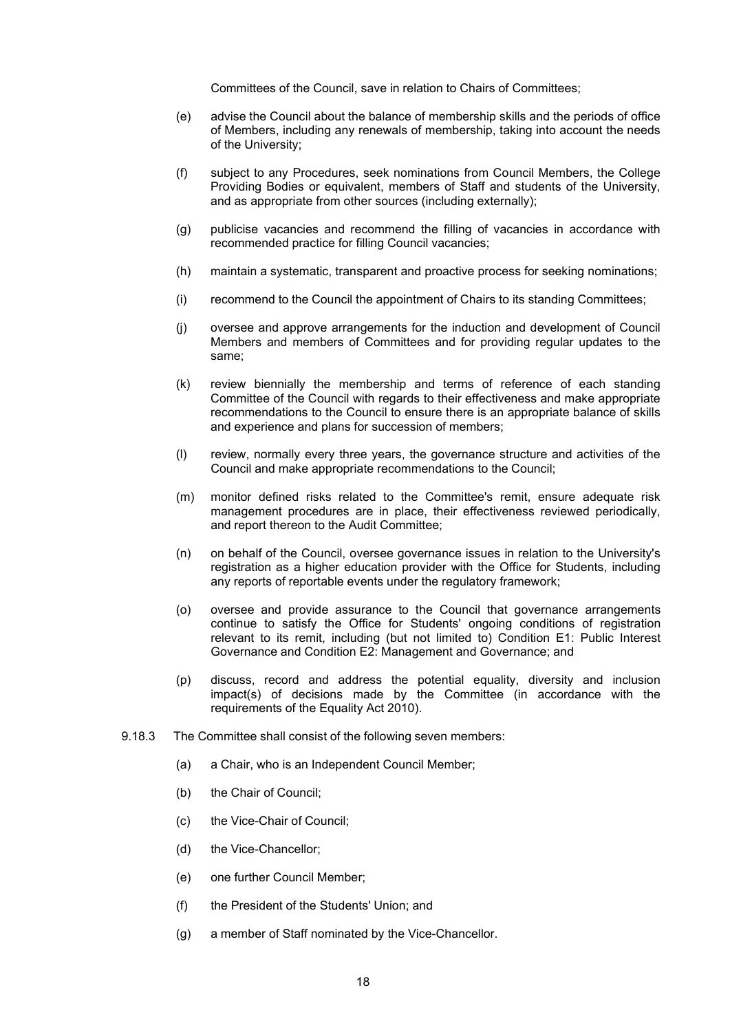Committees of the Council, save in relation to Chairs of Committees;

- (e) advise the Council about the balance of membership skills and the periods of office of Members, including any renewals of membership, taking into account the needs of the University;
- (f) subject to any Procedures, seek nominations from Council Members, the College Providing Bodies or equivalent, members of Staff and students of the University, and as appropriate from other sources (including externally);
- (g) publicise vacancies and recommend the filling of vacancies in accordance with recommended practice for filling Council vacancies;
- (h) maintain a systematic, transparent and proactive process for seeking nominations;
- (i) recommend to the Council the appointment of Chairs to its standing Committees;
- (j) oversee and approve arrangements for the induction and development of Council Members and members of Committees and for providing regular updates to the same;
- (k) review biennially the membership and terms of reference of each standing Committee of the Council with regards to their effectiveness and make appropriate recommendations to the Council to ensure there is an appropriate balance of skills and experience and plans for succession of members;
- (l) review, normally every three years, the governance structure and activities of the Council and make appropriate recommendations to the Council;
- (m) monitor defined risks related to the Committee's remit, ensure adequate risk management procedures are in place, their effectiveness reviewed periodically, and report thereon to the Audit Committee;
- (n) on behalf of the Council, oversee governance issues in relation to the University's registration as a higher education provider with the Office for Students, including any reports of reportable events under the regulatory framework;
- (o) oversee and provide assurance to the Council that governance arrangements continue to satisfy the Office for Students' ongoing conditions of registration relevant to its remit, including (but not limited to) Condition E1: Public Interest Governance and Condition E2: Management and Governance; and
- (p) discuss, record and address the potential equality, diversity and inclusion impact(s) of decisions made by the Committee (in accordance with the requirements of the Equality Act 2010).
- 9.18.3 The Committee shall consist of the following seven members:
	- (a) a Chair, who is an Independent Council Member;
	- (b) the Chair of Council;
	- (c) the Vice-Chair of Council;
	- (d) the Vice-Chancellor;
	- (e) one further Council Member;
	- (f) the President of the Students' Union; and
	- (g) a member of Staff nominated by the Vice-Chancellor.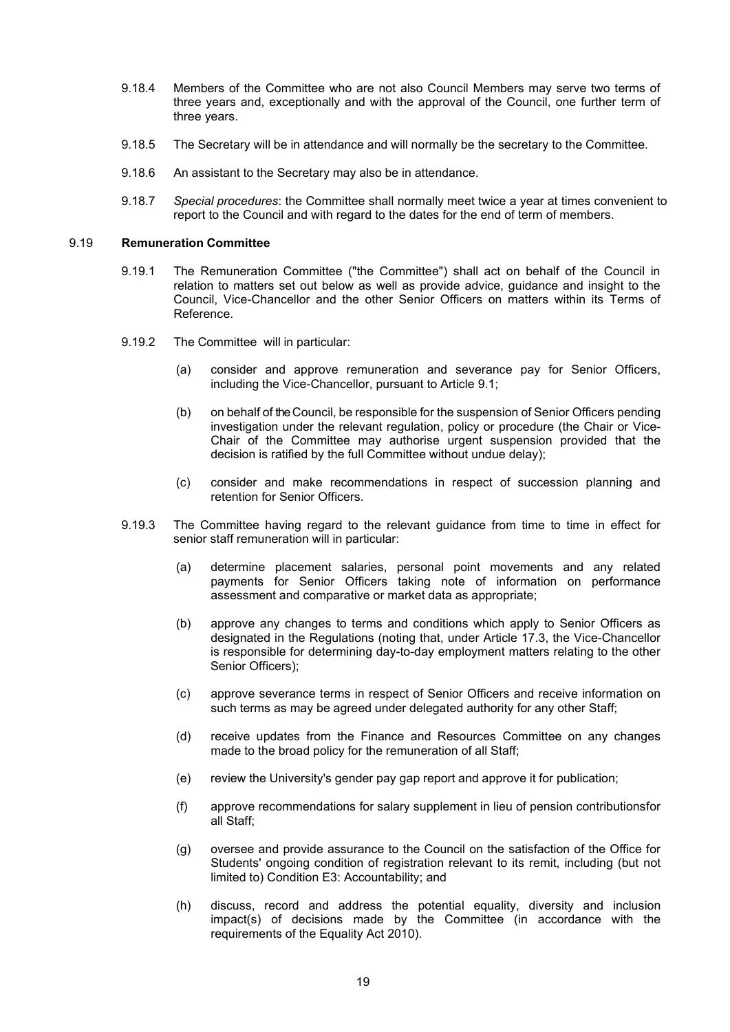- 9.18.4 Members of the Committee who are not also Council Members may serve two terms of three years and, exceptionally and with the approval of the Council, one further term of three years.
- 9.18.5 The Secretary will be in attendance and will normally be the secretary to the Committee.
- 9.18.6 An assistant to the Secretary may also be in attendance.
- 9.18.7 *Special procedures*: the Committee shall normally meet twice a year at times convenient to report to the Council and with regard to the dates for the end of term of members.

#### 9.19 **Remuneration Committee**

- 9.19.1 The Remuneration Committee ("the Committee") shall act on behalf of the Council in relation to matters set out below as well as provide advice, guidance and insight to the Council, Vice-Chancellor and the other Senior Officers on matters within its Terms of Reference.
- 9.19.2 The Committee will in particular:
	- (a) consider and approve remuneration and severance pay for Senior Officers, including the Vice-Chancellor, pursuant to Article 9.1;
	- (b) on behalf of the Council, be responsible for the suspension of Senior Officers pending investigation under the relevant regulation, policy or procedure (the Chair or Vice-Chair of the Committee may authorise urgent suspension provided that the decision is ratified by the full Committee without undue delay);
	- (c) consider and make recommendations in respect of succession planning and retention for Senior Officers.
- 9.19.3 The Committee having regard to the relevant guidance from time to time in effect for senior staff remuneration will in particular:
	- (a) determine placement salaries, personal point movements and any related payments for Senior Officers taking note of information on performance assessment and comparative or market data as appropriate;
	- (b) approve any changes to terms and conditions which apply to Senior Officers as designated in the Regulations (noting that, under Article 17.3, the Vice-Chancellor is responsible for determining day-to-day employment matters relating to the other Senior Officers);
	- (c) approve severance terms in respect of Senior Officers and receive information on such terms as may be agreed under delegated authority for any other Staff;
	- (d) receive updates from the Finance and Resources Committee on any changes made to the broad policy for the remuneration of all Staff;
	- (e) review the University's gender pay gap report and approve it for publication;
	- (f) approve recommendations for salary supplement in lieu of pension contributionsfor all Staff;
	- (g) oversee and provide assurance to the Council on the satisfaction of the Office for Students' ongoing condition of registration relevant to its remit, including (but not limited to) Condition E3: Accountability; and
	- (h) discuss, record and address the potential equality, diversity and inclusion impact(s) of decisions made by the Committee (in accordance with the requirements of the Equality Act 2010).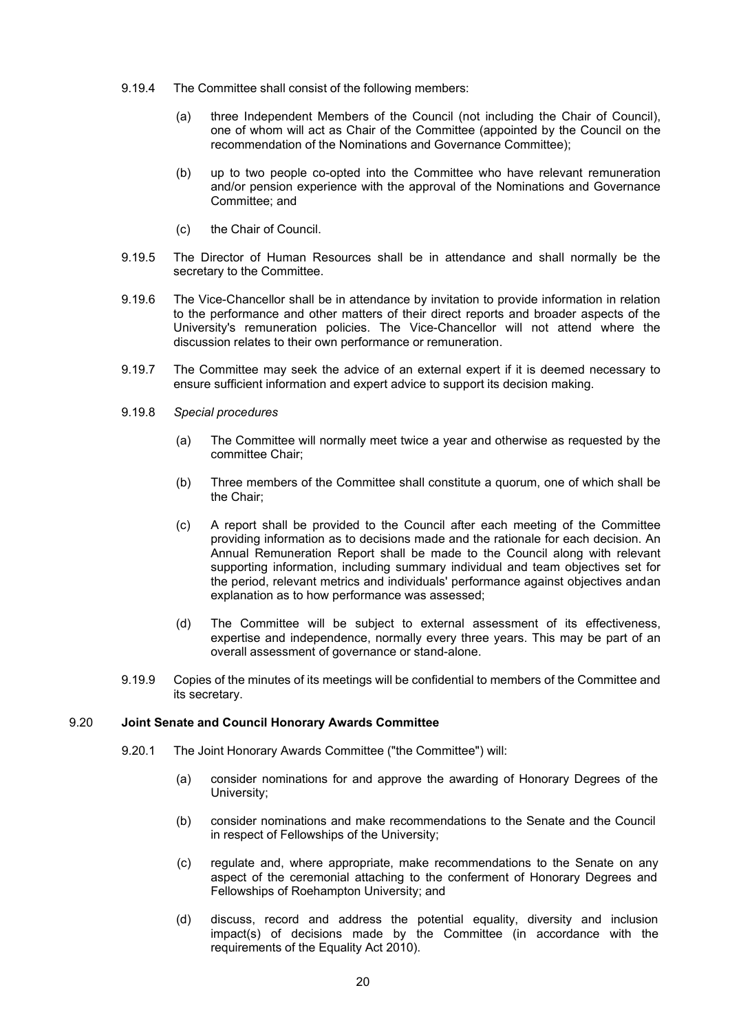- 9.19.4 The Committee shall consist of the following members:
	- (a) three Independent Members of the Council (not including the Chair of Council), one of whom will act as Chair of the Committee (appointed by the Council on the recommendation of the Nominations and Governance Committee);
	- (b) up to two people co-opted into the Committee who have relevant remuneration and/or pension experience with the approval of the Nominations and Governance Committee; and
	- (c) the Chair of Council.
- 9.19.5 The Director of Human Resources shall be in attendance and shall normally be the secretary to the Committee.
- 9.19.6 The Vice-Chancellor shall be in attendance by invitation to provide information in relation to the performance and other matters of their direct reports and broader aspects of the University's remuneration policies. The Vice-Chancellor will not attend where the discussion relates to their own performance or remuneration.
- 9.19.7 The Committee may seek the advice of an external expert if it is deemed necessary to ensure sufficient information and expert advice to support its decision making.
- 9.19.8 *Special procedures*
	- (a) The Committee will normally meet twice a year and otherwise as requested by the committee Chair;
	- (b) Three members of the Committee shall constitute a quorum, one of which shall be the Chair;
	- (c) A report shall be provided to the Council after each meeting of the Committee providing information as to decisions made and the rationale for each decision. An Annual Remuneration Report shall be made to the Council along with relevant supporting information, including summary individual and team objectives set for the period, relevant metrics and individuals' performance against objectives andan explanation as to how performance was assessed;
	- (d) The Committee will be subject to external assessment of its effectiveness, expertise and independence, normally every three years. This may be part of an overall assessment of governance or stand-alone.
- 9.19.9 Copies of the minutes of its meetings will be confidential to members of the Committee and its secretary.

#### 9.20 **Joint Senate and Council Honorary Awards Committee**

- 9.20.1 The Joint Honorary Awards Committee ("the Committee") will:
	- (a) consider nominations for and approve the awarding of Honorary Degrees of the University;
	- (b) consider nominations and make recommendations to the Senate and the Council in respect of Fellowships of the University;
	- (c) regulate and, where appropriate, make recommendations to the Senate on any aspect of the ceremonial attaching to the conferment of Honorary Degrees and Fellowships of Roehampton University; and
	- (d) discuss, record and address the potential equality, diversity and inclusion impact(s) of decisions made by the Committee (in accordance with the requirements of the Equality Act 2010).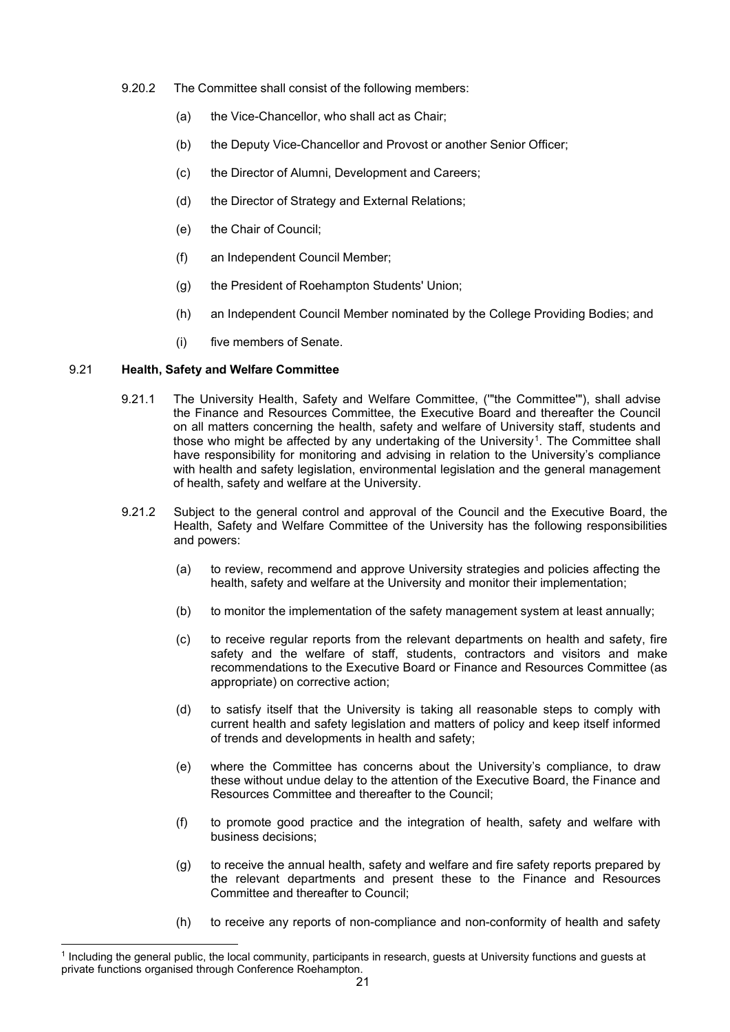- 9.20.2 The Committee shall consist of the following members:
	- (a) the Vice-Chancellor, who shall act as Chair;
	- (b) the Deputy Vice-Chancellor and Provost or another Senior Officer;
	- (c) the Director of Alumni, Development and Careers;
	- (d) the Director of Strategy and External Relations;
	- (e) the Chair of Council;
	- (f) an Independent Council Member;
	- (g) the President of Roehampton Students' Union;
	- (h) an Independent Council Member nominated by the College Providing Bodies; and
	- (i) five members of Senate.

#### 9.21 **Health, Safety and Welfare Committee**

- 9.21.1 The University Health, Safety and Welfare Committee, ('"the Committee'"), shall advise the Finance and Resources Committee, the Executive Board and thereafter the Council on all matters concerning the health, safety and welfare of University staff, students and those who might be affected by any undertaking of the University[1.](#page-21-0) The Committee shall have responsibility for monitoring and advising in relation to the University's compliance with health and safety legislation, environmental legislation and the general management of health, safety and welfare at the University.
- 9.21.2 Subject to the general control and approval of the Council and the Executive Board, the Health, Safety and Welfare Committee of the University has the following responsibilities and powers:
	- (a) to review, recommend and approve University strategies and policies affecting the health, safety and welfare at the University and monitor their implementation;
	- (b) to monitor the implementation of the safety management system at least annually;
	- (c) to receive regular reports from the relevant departments on health and safety, fire safety and the welfare of staff, students, contractors and visitors and make recommendations to the Executive Board or Finance and Resources Committee (as appropriate) on corrective action;
	- (d) to satisfy itself that the University is taking all reasonable steps to comply with current health and safety legislation and matters of policy and keep itself informed of trends and developments in health and safety;
	- (e) where the Committee has concerns about the University's compliance, to draw these without undue delay to the attention of the Executive Board, the Finance and Resources Committee and thereafter to the Council;
	- (f) to promote good practice and the integration of health, safety and welfare with business decisions;
	- (g) to receive the annual health, safety and welfare and fire safety reports prepared by the relevant departments and present these to the Finance and Resources Committee and thereafter to Council;
	- (h) to receive any reports of non-compliance and non-conformity of health and safety

<span id="page-21-0"></span><sup>1</sup> Including the general public, the local community, participants in research, guests at University functions and guests at private functions organised through Conference Roehampton.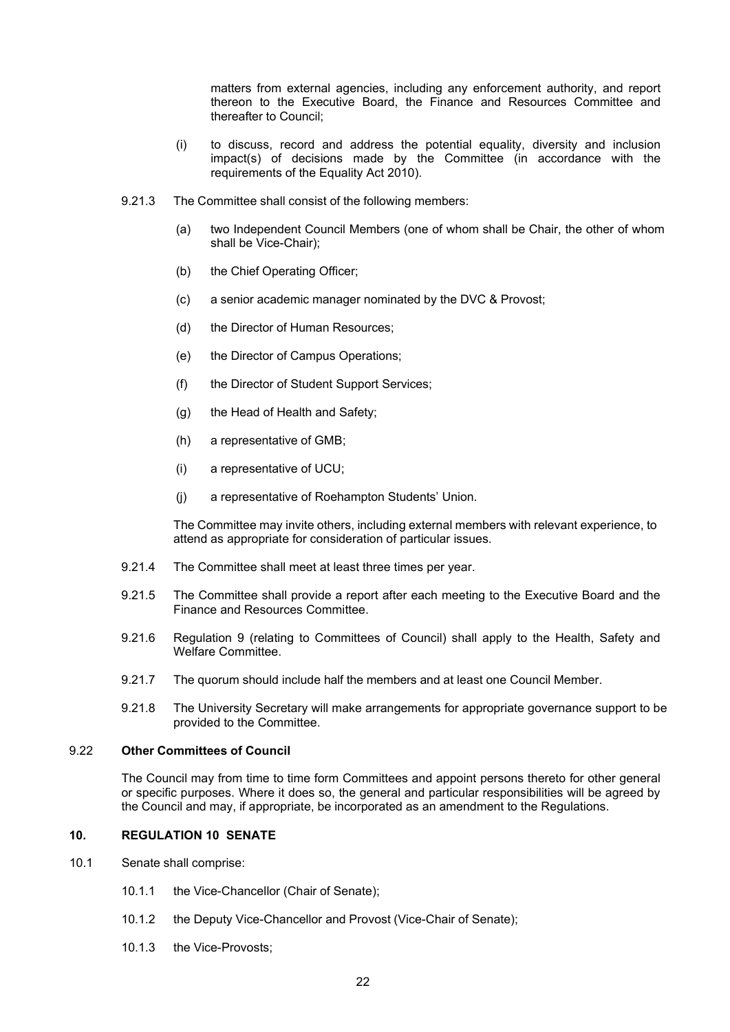matters from external agencies, including any enforcement authority, and report thereon to the Executive Board, the Finance and Resources Committee and thereafter to Council;

- (i) to discuss, record and address the potential equality, diversity and inclusion impact(s) of decisions made by the Committee (in accordance with the requirements of the Equality Act 2010).
- 9.21.3 The Committee shall consist of the following members:
	- (a) two Independent Council Members (one of whom shall be Chair, the other of whom shall be Vice-Chair);
	- (b) the Chief Operating Officer;
	- (c) a senior academic manager nominated by the DVC & Provost;
	- (d) the Director of Human Resources;
	- (e) the Director of Campus Operations;
	- (f) the Director of Student Support Services;
	- (g) the Head of Health and Safety;
	- (h) a representative of GMB;
	- (i) a representative of UCU;
	- (j) a representative of Roehampton Students' Union.

The Committee may invite others, including external members with relevant experience, to attend as appropriate for consideration of particular issues.

- 9.21.4 The Committee shall meet at least three times per year.
- 9.21.5 The Committee shall provide a report after each meeting to the Executive Board and the Finance and Resources Committee.
- 9.21.6 Regulation 9 (relating to Committees of Council) shall apply to the Health, Safety and Welfare Committee.
- 9.21.7 The quorum should include half the members and at least one Council Member.
- 9.21.8 The University Secretary will make arrangements for appropriate governance support to be provided to the Committee.

#### <span id="page-22-0"></span>9.22 **Other Committees of Council**

The Council may from time to time form Committees and appoint persons thereto for other general or specific purposes. Where it does so, the general and particular responsibilities will be agreed by the Council and may, if appropriate, be incorporated as an amendment to the Regulations.

#### **10. REGULATION 10 SENATE**

- 10.1 Senate shall comprise:
	- 10.1.1 the Vice-Chancellor (Chair of Senate);
	- 10.1.2 the Deputy Vice-Chancellor and Provost (Vice-Chair of Senate);
	- 10.1.3 the Vice-Provosts;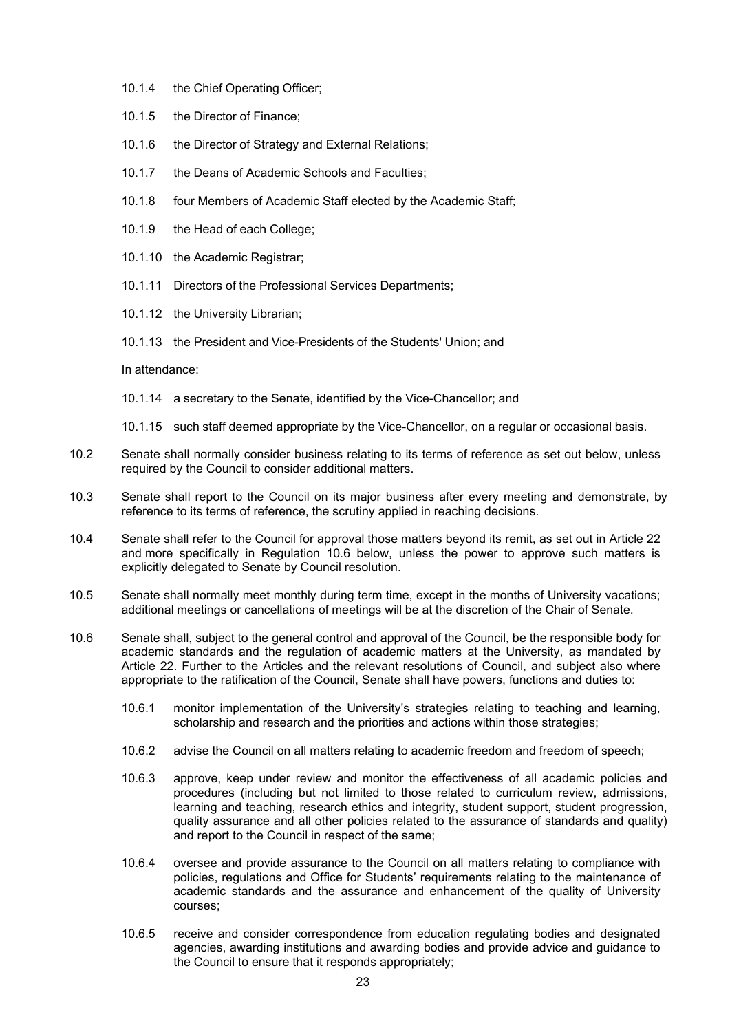- 10.1.4 the Chief Operating Officer;
- 10.1.5 the Director of Finance;
- 10.1.6 the Director of Strategy and External Relations;
- 10.1.7 the Deans of Academic Schools and Faculties;
- 10.1.8 four Members of Academic Staff elected by the Academic Staff;
- 10.1.9 the Head of each College;
- 10.1.10 the Academic Registrar;
- 10.1.11 Directors of the Professional Services Departments;
- 10.1.12 the University Librarian;
- 10.1.13 the President and Vice-Presidents of the Students' Union; and

In attendance:

- 10.1.14 a secretary to the Senate, identified by the Vice-Chancellor; and
- 10.1.15 such staff deemed appropriate by the Vice-Chancellor, on a regular or occasional basis.
- 10.2 Senate shall normally consider business relating to its terms of reference as set out below, unless required by the Council to consider additional matters.
- 10.3 Senate shall report to the Council on its major business after every meeting and demonstrate, by reference to its terms of reference, the scrutiny applied in reaching decisions.
- 10.4 Senate shall refer to the Council for approval those matters beyond its remit, as set out in Article 22 and more specifically in Regulation 10.6 below, unless the power to approve such matters is explicitly delegated to Senate by Council resolution.
- 10.5 Senate shall normally meet monthly during term time, except in the months of University vacations; additional meetings or cancellations of meetings will be at the discretion of the Chair of Senate.
- 10.6 Senate shall, subject to the general control and approval of the Council, be the responsible body for academic standards and the regulation of academic matters at the University, as mandated by Article 22. Further to the Articles and the relevant resolutions of Council, and subject also where appropriate to the ratification of the Council, Senate shall have powers, functions and duties to:
	- 10.6.1 monitor implementation of the University's strategies relating to teaching and learning, scholarship and research and the priorities and actions within those strategies;
	- 10.6.2 advise the Council on all matters relating to academic freedom and freedom of speech;
	- 10.6.3 approve, keep under review and monitor the effectiveness of all academic policies and procedures (including but not limited to those related to curriculum review, admissions, learning and teaching, research ethics and integrity, student support, student progression, quality assurance and all other policies related to the assurance of standards and quality) and report to the Council in respect of the same;
	- 10.6.4 oversee and provide assurance to the Council on all matters relating to compliance with policies, regulations and Office for Students' requirements relating to the maintenance of academic standards and the assurance and enhancement of the quality of University courses;
	- 10.6.5 receive and consider correspondence from education regulating bodies and designated agencies, awarding institutions and awarding bodies and provide advice and guidance to the Council to ensure that it responds appropriately;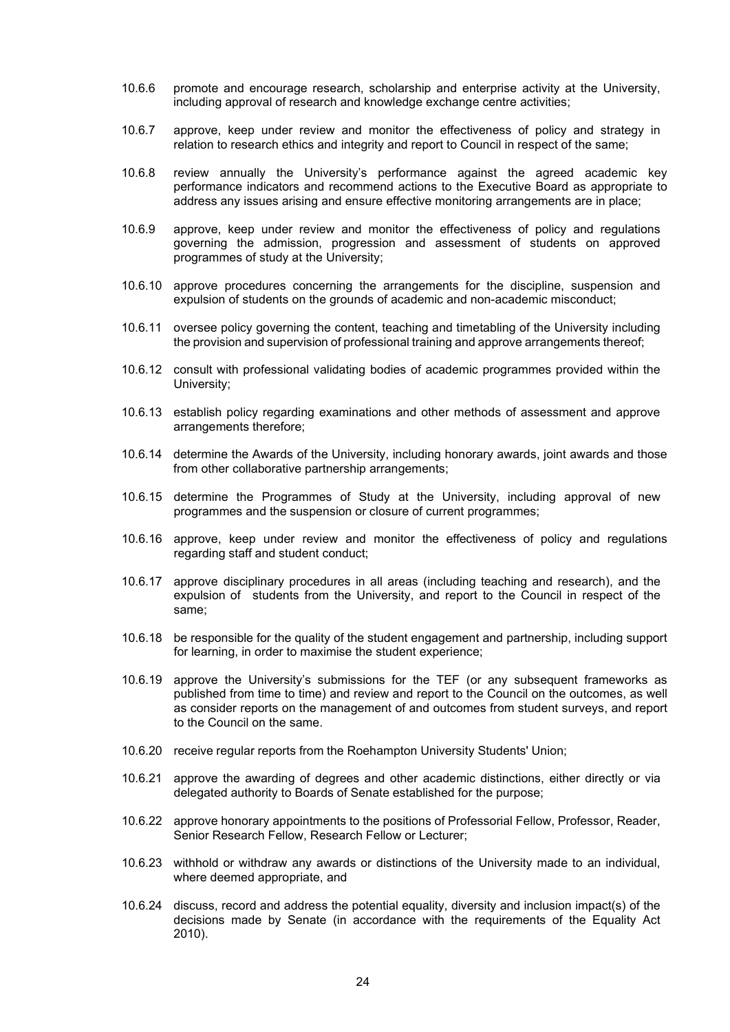- 10.6.6 promote and encourage research, scholarship and enterprise activity at the University, including approval of research and knowledge exchange centre activities;
- 10.6.7 approve, keep under review and monitor the effectiveness of policy and strategy in relation to research ethics and integrity and report to Council in respect of the same;
- 10.6.8 review annually the University's performance against the agreed academic key performance indicators and recommend actions to the Executive Board as appropriate to address any issues arising and ensure effective monitoring arrangements are in place;
- 10.6.9 approve, keep under review and monitor the effectiveness of policy and regulations governing the admission, progression and assessment of students on approved programmes of study at the University;
- 10.6.10 approve procedures concerning the arrangements for the discipline, suspension and expulsion of students on the grounds of academic and non-academic misconduct;
- 10.6.11 oversee policy governing the content, teaching and timetabling of the University including the provision and supervision of professional training and approve arrangements thereof;
- 10.6.12 consult with professional validating bodies of academic programmes provided within the University;
- 10.6.13 establish policy regarding examinations and other methods of assessment and approve arrangements therefore;
- 10.6.14 determine the Awards of the University, including honorary awards, joint awards and those from other collaborative partnership arrangements;
- 10.6.15 determine the Programmes of Study at the University, including approval of new programmes and the suspension or closure of current programmes;
- 10.6.16 approve, keep under review and monitor the effectiveness of policy and regulations regarding staff and student conduct;
- 10.6.17 approve disciplinary procedures in all areas (including teaching and research), and the expulsion of students from the University, and report to the Council in respect of the same;
- 10.6.18 be responsible for the quality of the student engagement and partnership, including support for learning, in order to maximise the student experience;
- 10.6.19 approve the University's submissions for the TEF (or any subsequent frameworks as published from time to time) and review and report to the Council on the outcomes, as well as consider reports on the management of and outcomes from student surveys, and report to the Council on the same.
- 10.6.20 receive regular reports from the Roehampton University Students' Union;
- 10.6.21 approve the awarding of degrees and other academic distinctions, either directly or via delegated authority to Boards of Senate established for the purpose;
- 10.6.22 approve honorary appointments to the positions of Professorial Fellow, Professor, Reader, Senior Research Fellow, Research Fellow or Lecturer;
- 10.6.23 withhold or withdraw any awards or distinctions of the University made to an individual, where deemed appropriate, and
- 10.6.24 discuss, record and address the potential equality, diversity and inclusion impact(s) of the decisions made by Senate (in accordance with the requirements of the Equality Act 2010).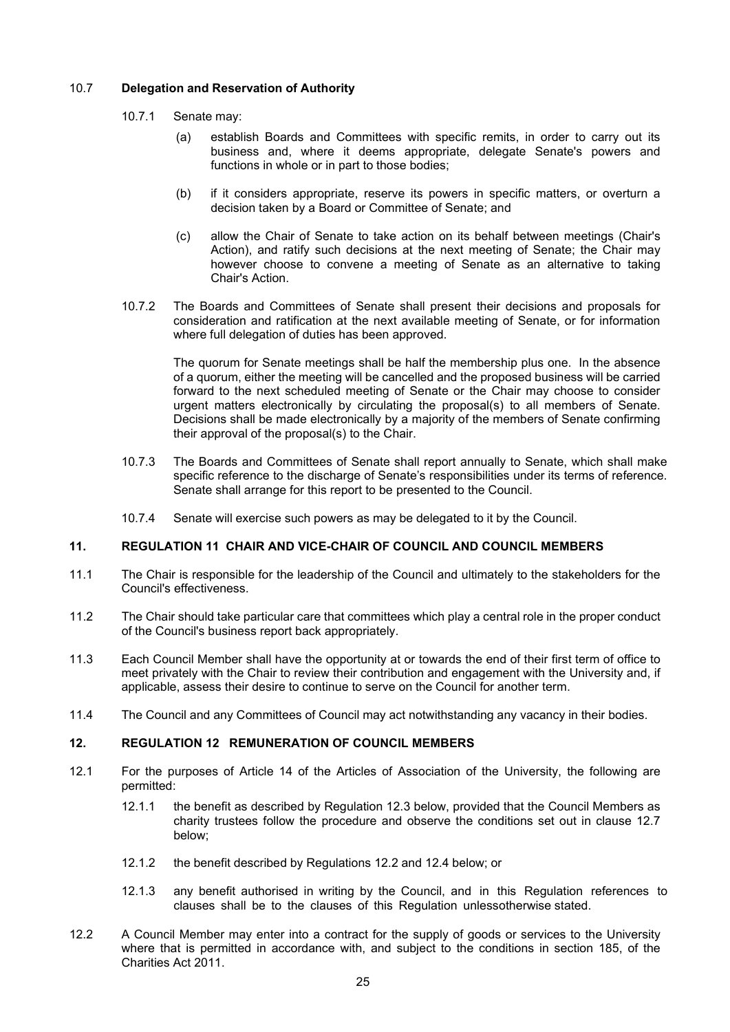#### 10.7 **Delegation and Reservation of Authority**

- 10.7.1 Senate may:
	- (a) establish Boards and Committees with specific remits, in order to carry out its business and, where it deems appropriate, delegate Senate's powers and functions in whole or in part to those bodies;
	- (b) if it considers appropriate, reserve its powers in specific matters, or overturn a decision taken by a Board or Committee of Senate; and
	- (c) allow the Chair of Senate to take action on its behalf between meetings (Chair's Action), and ratify such decisions at the next meeting of Senate; the Chair may however choose to convene a meeting of Senate as an alternative to taking Chair's Action.
- 10.7.2 The Boards and Committees of Senate shall present their decisions and proposals for consideration and ratification at the next available meeting of Senate, or for information where full delegation of duties has been approved.

The quorum for Senate meetings shall be half the membership plus one. In the absence of a quorum, either the meeting will be cancelled and the proposed business will be carried forward to the next scheduled meeting of Senate or the Chair may choose to consider urgent matters electronically by circulating the proposal(s) to all members of Senate. Decisions shall be made electronically by a majority of the members of Senate confirming their approval of the proposal(s) to the Chair.

- 10.7.3 The Boards and Committees of Senate shall report annually to Senate, which shall make specific reference to the discharge of Senate's responsibilities under its terms of reference. Senate shall arrange for this report to be presented to the Council.
- 10.7.4 Senate will exercise such powers as may be delegated to it by the Council.

#### **11. REGULATION 11 CHAIR AND VICE-CHAIR OF COUNCIL AND COUNCIL MEMBERS**

- 11.1 The Chair is responsible for the leadership of the Council and ultimately to the stakeholders for the Council's effectiveness.
- 11.2 The Chair should take particular care that committees which play a central role in the proper conduct of the Council's business report back appropriately.
- 11.3 Each Council Member shall have the opportunity at or towards the end of their first term of office to meet privately with the Chair to review their contribution and engagement with the University and, if applicable, assess their desire to continue to serve on the Council for another term.
- 11.4 The Council and any Committees of Council may act notwithstanding any vacancy in their bodies.

#### <span id="page-25-2"></span>**12. REGULATION 12 REMUNERATION OF COUNCIL MEMBERS**

- <span id="page-25-1"></span>12.1 For the purposes of Article 14 of the Articles of Association of the University, the following are permitted:
	- 12.1.1 the benefit as described by Regulation [12.3 b](#page-26-0)elow, provided that the Council Members as charity trustees follow the procedure and observe the conditions set out in clause [12.7](#page-26-1) below;
	- 12.1.2 the benefit described by Regulations [12.2](#page-25-0) and [12.4](#page-26-2) below; or
	- 12.1.3 any benefit authorised in writing by the Council, and in this Regulation references to clauses shall be to the clauses of this Regulation unlessotherwise stated.
- <span id="page-25-0"></span>12.2 A Council Member may enter into a contract for the supply of goods or services to the University where that is permitted in accordance with, and subject to the conditions in section 185, of the Charities Act 2011.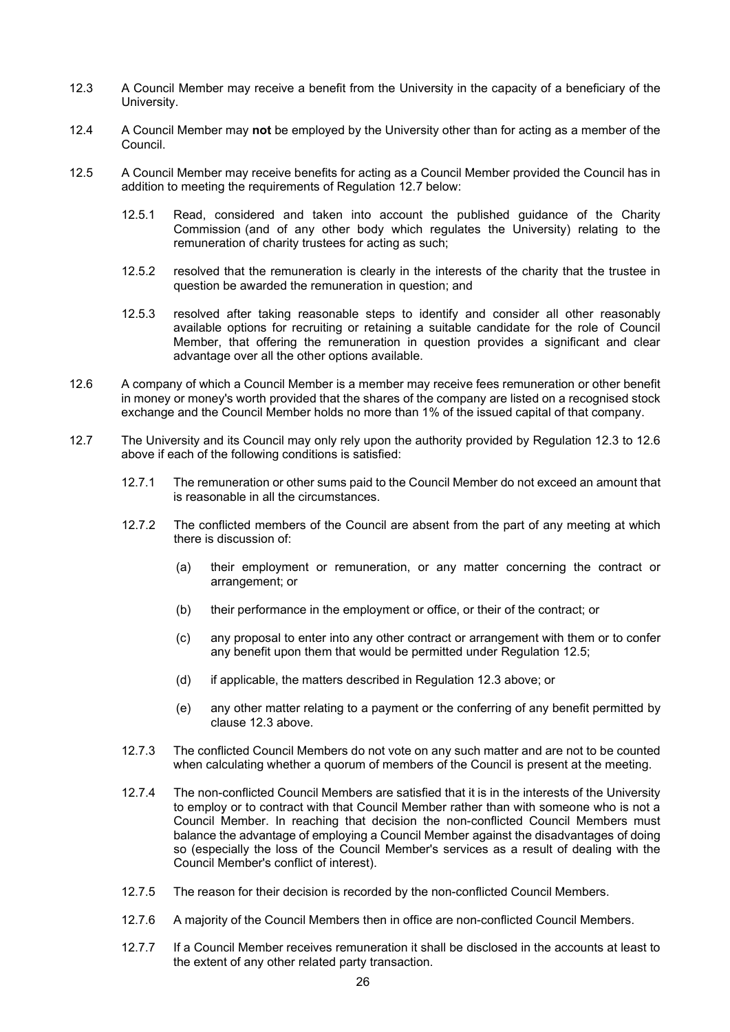- <span id="page-26-0"></span>12.3 A Council Member may receive a benefit from the University in the capacity of a beneficiary of the University.
- <span id="page-26-2"></span>12.4 A Council Member may **not** be employed by the University other than for acting as a member of the Council.
- <span id="page-26-4"></span>12.5 A Council Member may receive benefits for acting as a Council Member provided the Council has in addition to meeting the requirements of Regulation [12.7](#page-26-1) below:
	- 12.5.1 Read, considered and taken into account the published guidance of the Charity Commission (and of any other body which regulates the University) relating to the remuneration of charity trustees for acting as such;
	- 12.5.2 resolved that the remuneration is clearly in the interests of the charity that the trustee in question be awarded the remuneration in question; and
	- 12.5.3 resolved after taking reasonable steps to identify and consider all other reasonably available options for recruiting or retaining a suitable candidate for the role of Council Member, that offering the remuneration in question provides a significant and clear advantage over all the other options available.
- <span id="page-26-3"></span>12.6 A company of which a Council Member is a member may receive fees remuneration or other benefit in money or money's worth provided that the shares of the company are listed on a recognised stock exchange and the Council Member holds no more than 1% of the issued capital of that company.
- <span id="page-26-1"></span>12.7 The University and its Council may only rely upon the authority provided by Regulation [12.3 t](#page-26-0)o [12.6](#page-26-3) above if each of the following conditions is satisfied:
	- 12.7.1 The remuneration or other sums paid to the Council Member do not exceed an amount that is reasonable in all the circumstances.
	- 12.7.2 The conflicted members of the Council are absent from the part of any meeting at which there is discussion of:
		- (a) their employment or remuneration, or any matter concerning the contract or arrangement; or
		- (b) their performance in the employment or office, or their of the contract; or
		- (c) any proposal to enter into any other contract or arrangement with them or to confer any benefit upon them that would be permitted under Regulation [12.5;](#page-26-4)
		- (d) if applicable, the matters described in Regulation [12.3](#page-26-0) above; or
		- (e) any other matter relating to a payment or the conferring of any benefit permitted by clause [12.3](#page-26-0) above.
	- 12.7.3 The conflicted Council Members do not vote on any such matter and are not to be counted when calculating whether a quorum of members of the Council is present at the meeting.
	- 12.7.4 The non-conflicted Council Members are satisfied that it is in the interests of the University to employ or to contract with that Council Member rather than with someone who is not a Council Member. In reaching that decision the non-conflicted Council Members must balance the advantage of employing a Council Member against the disadvantages of doing so (especially the loss of the Council Member's services as a result of dealing with the Council Member's conflict of interest).
	- 12.7.5 The reason for their decision is recorded by the non-conflicted Council Members.
	- 12.7.6 A majority of the Council Members then in office are non-conflicted Council Members.
	- 12.7.7 If a Council Member receives remuneration it shall be disclosed in the accounts at least to the extent of any other related party transaction.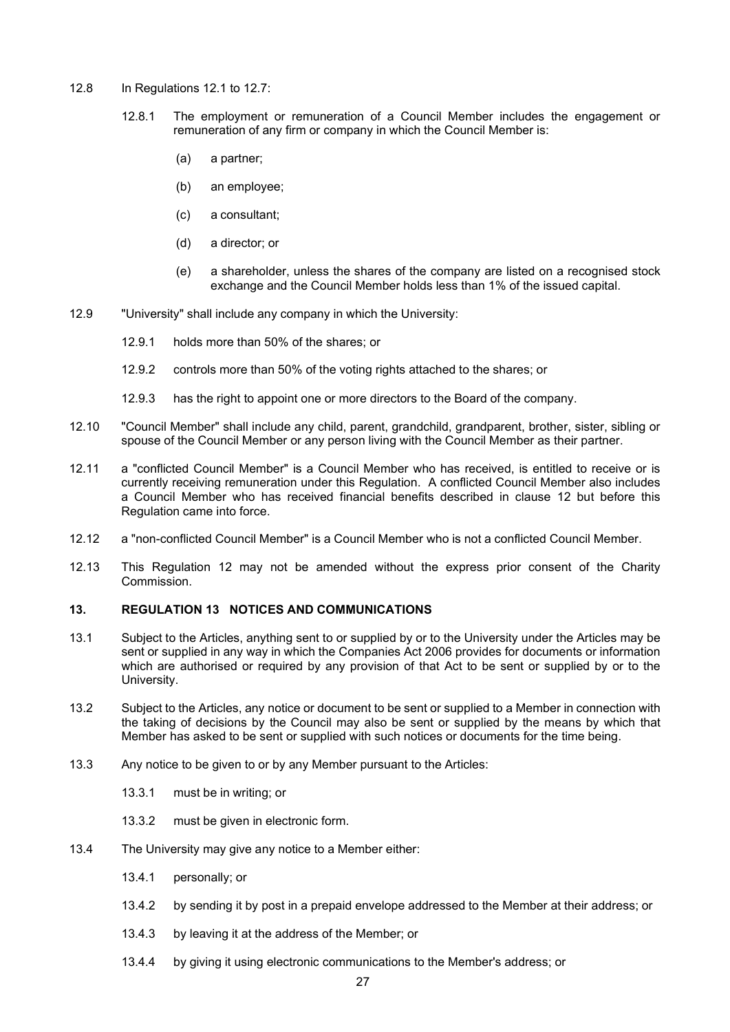- 12.8 In Regulations [12.1](#page-25-1) to [12.7:](#page-26-1)
	- 12.8.1 The employment or remuneration of a Council Member includes the engagement or remuneration of any firm or company in which the Council Member is:
		- (a) a partner;
		- (b) an employee;
		- (c) a consultant;
		- (d) a director; or
		- (e) a shareholder, unless the shares of the company are listed on a recognised stock exchange and the Council Member holds less than 1% of the issued capital.
- 12.9 "University" shall include any company in which the University:
	- 12.9.1 holds more than 50% of the shares; or
	- 12.9.2 controls more than 50% of the voting rights attached to the shares; or
	- 12.9.3 has the right to appoint one or more directors to the Board of the company.
- 12.10 "Council Member" shall include any child, parent, grandchild, grandparent, brother, sister, sibling or spouse of the Council Member or any person living with the Council Member as their partner.
- 12.11 a "conflicted Council Member" is a Council Member who has received, is entitled to receive or is currently receiving remuneration under this Regulation. A conflicted Council Member also includes a Council Member who has received financial benefits described in clause [12](#page-25-2) but before this Regulation came into force.
- 12.12 a "non-conflicted Council Member" is a Council Member who is not a conflicted Council Member.
- 12.13 This Regulation [12](#page-25-2) may not be amended without the express prior consent of the Charity Commission.

#### **13. REGULATION 13 NOTICES AND COMMUNICATIONS**

- 13.1 Subject to the Articles, anything sent to or supplied by or to the University under the Articles may be sent or supplied in any way in which the Companies Act 2006 provides for documents or information which are authorised or required by any provision of that Act to be sent or supplied by or to the University.
- 13.2 Subject to the Articles, any notice or document to be sent or supplied to a Member in connection with the taking of decisions by the Council may also be sent or supplied by the means by which that Member has asked to be sent or supplied with such notices or documents for the time being.
- 13.3 Any notice to be given to or by any Member pursuant to the Articles:
	- 13.3.1 must be in writing; or
	- 13.3.2 must be given in electronic form.
- 13.4 The University may give any notice to a Member either:
	- 13.4.1 personally; or
	- 13.4.2 by sending it by post in a prepaid envelope addressed to the Member at their address; or
	- 13.4.3 by leaving it at the address of the Member; or
	- 13.4.4 by giving it using electronic communications to the Member's address; or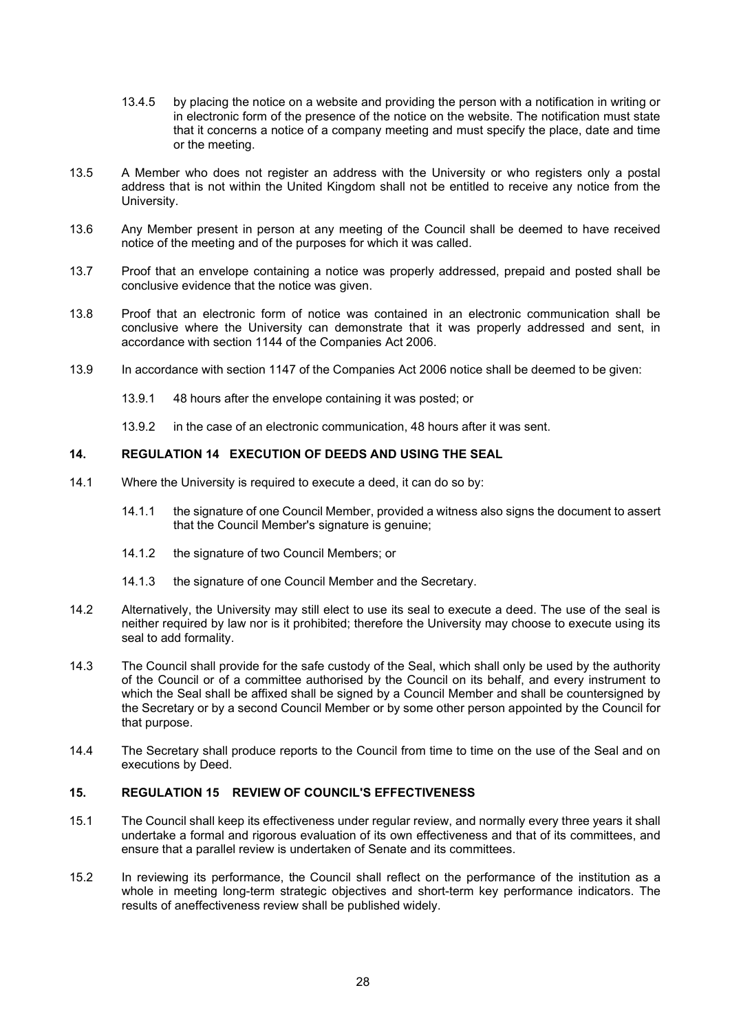- 13.4.5 by placing the notice on a website and providing the person with a notification in writing or in electronic form of the presence of the notice on the website. The notification must state that it concerns a notice of a company meeting and must specify the place, date and time or the meeting.
- 13.5 A Member who does not register an address with the University or who registers only a postal address that is not within the United Kingdom shall not be entitled to receive any notice from the University.
- 13.6 Any Member present in person at any meeting of the Council shall be deemed to have received notice of the meeting and of the purposes for which it was called.
- 13.7 Proof that an envelope containing a notice was properly addressed, prepaid and posted shall be conclusive evidence that the notice was given.
- 13.8 Proof that an electronic form of notice was contained in an electronic communication shall be conclusive where the University can demonstrate that it was properly addressed and sent, in accordance with section 1144 of the Companies Act 2006.
- 13.9 In accordance with section 1147 of the Companies Act 2006 notice shall be deemed to be given:
	- 13.9.1 48 hours after the envelope containing it was posted; or
	- 13.9.2 in the case of an electronic communication, 48 hours after it was sent.

#### **14. REGULATION 14 EXECUTION OF DEEDS AND USING THE SEAL**

- 14.1 Where the University is required to execute a deed, it can do so by:
	- 14.1.1 the signature of one Council Member, provided a witness also signs the document to assert that the Council Member's signature is genuine;
	- 14.1.2 the signature of two Council Members; or
	- 14.1.3 the signature of one Council Member and the Secretary.
- 14.2 Alternatively, the University may still elect to use its seal to execute a deed. The use of the seal is neither required by law nor is it prohibited; therefore the University may choose to execute using its seal to add formality.
- 14.3 The Council shall provide for the safe custody of the Seal, which shall only be used by the authority of the Council or of a committee authorised by the Council on its behalf, and every instrument to which the Seal shall be affixed shall be signed by a Council Member and shall be countersigned by the Secretary or by a second Council Member or by some other person appointed by the Council for that purpose.
- 14.4 The Secretary shall produce reports to the Council from time to time on the use of the Seal and on executions by Deed.

#### **15. REGULATION 15 REVIEW OF COUNCIL'S EFFECTIVENESS**

- 15.1 The Council shall keep its effectiveness under regular review, and normally every three years it shall undertake a formal and rigorous evaluation of its own effectiveness and that of its committees, and ensure that a parallel review is undertaken of Senate and its committees.
- 15.2 In reviewing its performance, the Council shall reflect on the performance of the institution as a whole in meeting long-term strategic objectives and short-term key performance indicators. The results of aneffectiveness review shall be published widely.